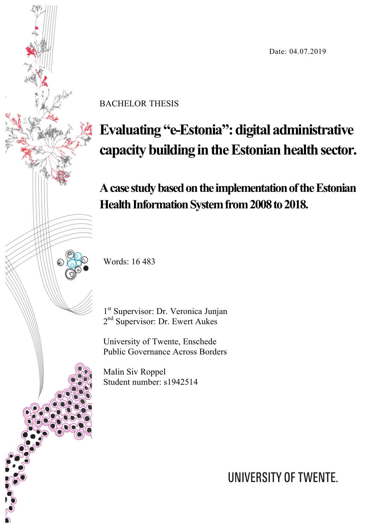Date: 04.07.2019



BACHELOR THESIS

# **Evaluating "e-Estonia": digital administrative capacity building in the Estonian health sector.**

**A case study based on the implementation of the Estonian Health Information System from 2008 to 2018.**

Words: 16 483

1<sup>st</sup> Supervisor: Dr. Veronica Junjan 2<sup>nd</sup> Supervisor: Dr. Ewert Aukes

University of Twente, Enschede Public Governance Across Borders

Malin Siv Roppel Student number: s1942514

UNIVERSITY OF TWENTE.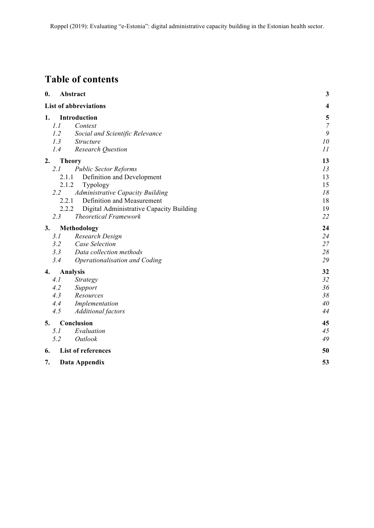# **Table of contents**

| 0.  | Abstract                                          | 3                       |
|-----|---------------------------------------------------|-------------------------|
|     | <b>List of abbreviations</b>                      | $\overline{\mathbf{4}}$ |
| 1.  | Introduction                                      | $\frac{5}{7}$           |
| 1.1 | Context                                           |                         |
| 1.2 | Social and Scientific Relevance                   | 9                       |
| 1.3 | <b>Structure</b>                                  | 10                      |
| 1.4 | <b>Research Question</b>                          | 11                      |
| 2.  | <b>Theory</b>                                     | 13                      |
| 2.1 | <b>Public Sector Reforms</b>                      | 13                      |
|     | 2.1.1<br>Definition and Development               | 13                      |
|     | 2.1.2<br>Typology                                 | 15                      |
| 2.2 | Administrative Capacity Building                  | 18                      |
|     | 2.2.1<br>Definition and Measurement               | 18                      |
|     | 2.2.2<br>Digital Administrative Capacity Building | 19                      |
| 2.3 | <b>Theoretical Framework</b>                      | 22                      |
| 3.  | Methodology                                       | 24                      |
| 3.1 | Research Design                                   | 24                      |
| 3.2 | Case Selection                                    | 27                      |
| 3.3 | Data collection methods                           | 28                      |
| 3.4 | Operationalisation and Coding                     | 29                      |
| 4.  | <b>Analysis</b>                                   | 32                      |
| 4.1 | Strategy                                          | 32                      |
| 4.2 | Support                                           | 36                      |
| 4.3 | Resources                                         | 38                      |
| 4.4 | Implementation                                    | 40                      |
| 4.5 | <b>Additional</b> factors                         | 44                      |
| 5.  | Conclusion                                        | 45                      |
| 5.1 | Evaluation                                        | 45                      |
| 5.2 | Outlook                                           | 49                      |
| 6.  | <b>List of references</b>                         | 50                      |
| 7.  | Data Appendix                                     | 53                      |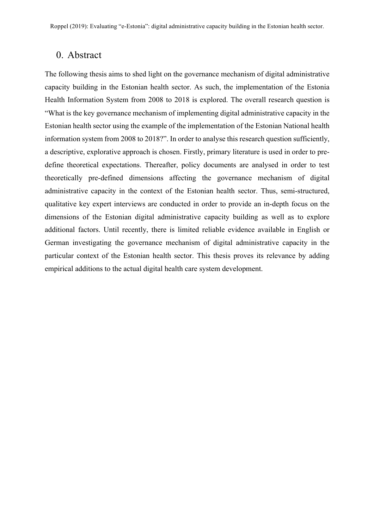# 0. Abstract

The following thesis aims to shed light on the governance mechanism of digital administrative capacity building in the Estonian health sector. As such, the implementation of the Estonia Health Information System from 2008 to 2018 is explored. The overall research question is "What is the key governance mechanism of implementing digital administrative capacity in the Estonian health sector using the example of the implementation of the Estonian National health information system from 2008 to 2018?". In order to analyse this research question sufficiently, a descriptive, explorative approach is chosen. Firstly, primary literature is used in order to predefine theoretical expectations. Thereafter, policy documents are analysed in order to test theoretically pre-defined dimensions affecting the governance mechanism of digital administrative capacity in the context of the Estonian health sector. Thus, semi-structured, qualitative key expert interviews are conducted in order to provide an in-depth focus on the dimensions of the Estonian digital administrative capacity building as well as to explore additional factors. Until recently, there is limited reliable evidence available in English or German investigating the governance mechanism of digital administrative capacity in the particular context of the Estonian health sector. This thesis proves its relevance by adding empirical additions to the actual digital health care system development.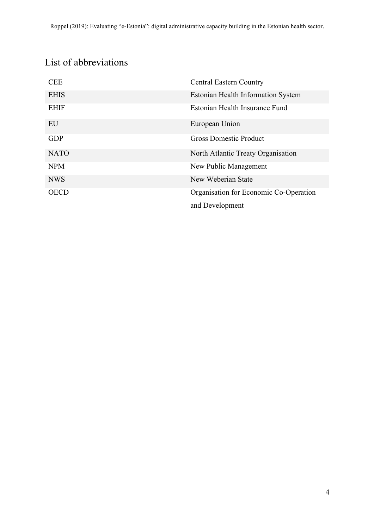# List of abbreviations

| <b>CEE</b>  | <b>Central Eastern Country</b>            |
|-------------|-------------------------------------------|
| <b>EHIS</b> | <b>Estonian Health Information System</b> |
| <b>EHIF</b> | Estonian Health Insurance Fund            |
| EU          | European Union                            |
| <b>GDP</b>  | <b>Gross Domestic Product</b>             |
| <b>NATO</b> | North Atlantic Treaty Organisation        |
| <b>NPM</b>  | New Public Management                     |
| <b>NWS</b>  | New Weberian State                        |
| <b>OECD</b> | Organisation for Economic Co-Operation    |
|             | and Development                           |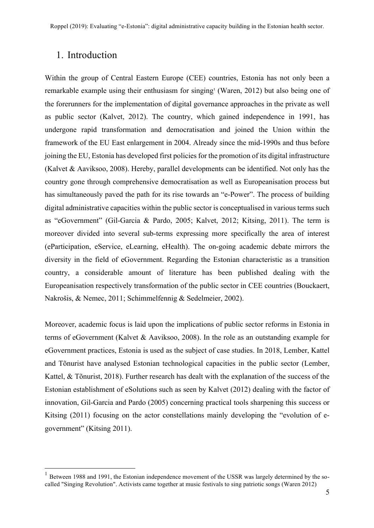# 1. Introduction

Within the group of Central Eastern Europe (CEE) countries, Estonia has not only been a remarkable example using their enthusiasm for singing<sup>1</sup> (Waren, 2012) but also being one of the forerunners for the implementation of digital governance approaches in the private as well as public sector (Kalvet, 2012). The country, which gained independence in 1991, has undergone rapid transformation and democratisation and joined the Union within the framework of the EU East enlargement in 2004. Already since the mid-1990s and thus before joining the EU, Estonia has developed first policies for the promotion of its digital infrastructure (Kalvet & Aaviksoo, 2008). Hereby, parallel developments can be identified. Not only has the country gone through comprehensive democratisation as well as Europeanisation process but has simultaneously paved the path for its rise towards an "e-Power". The process of building digital administrative capacities within the public sector is conceptualised in various terms such as "eGovernment" (Gil-Garcia & Pardo, 2005; Kalvet, 2012; Kitsing, 2011). The term is moreover divided into several sub-terms expressing more specifically the area of interest (eParticipation, eService, eLearning, eHealth). The on-going academic debate mirrors the diversity in the field of eGovernment. Regarding the Estonian characteristic as a transition country, a considerable amount of literature has been published dealing with the Europeanisation respectively transformation of the public sector in CEE countries (Bouckaert, Nakrošis, & Nemec, 2011; Schimmelfennig & Sedelmeier, 2002).

Moreover, academic focus is laid upon the implications of public sector reforms in Estonia in terms of eGovernment (Kalvet & Aaviksoo, 2008). In the role as an outstanding example for eGovernment practices, Estonia is used as the subject of case studies. In 2018, Lember, Kattel and Tõnurist have analysed Estonian technological capacities in the public sector (Lember, Kattel, & Tõnurist, 2018). Further research has dealt with the explanation of the success of the Estonian establishment of eSolutions such as seen by Kalvet (2012) dealing with the factor of innovation, Gil-Garcia and Pardo (2005) concerning practical tools sharpening this success or Kitsing (2011) focusing on the actor constellations mainly developing the "evolution of egovernment" (Kitsing 2011).

 $1$  Between 1988 and 1991, the Estonian independence movement of the USSR was largely determined by the socalled "Singing Revolution". Activists came together at music festivals to sing patriotic songs (Waren 2012)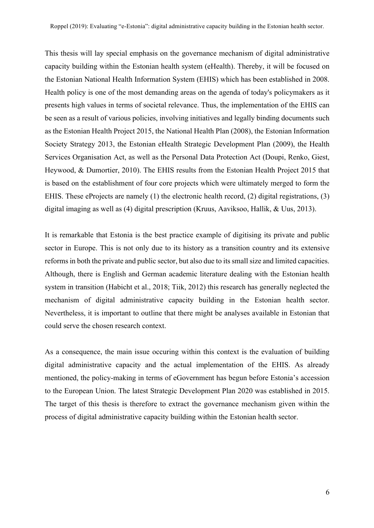This thesis will lay special emphasis on the governance mechanism of digital administrative capacity building within the Estonian health system (eHealth). Thereby, it will be focused on the Estonian National Health Information System (EHIS) which has been established in 2008. Health policy is one of the most demanding areas on the agenda of today's policymakers as it presents high values in terms of societal relevance. Thus, the implementation of the EHIS can be seen as a result of various policies, involving initiatives and legally binding documents such as the Estonian Health Project 2015, the National Health Plan (2008), the Estonian Information Society Strategy 2013, the Estonian eHealth Strategic Development Plan (2009), the Health Services Organisation Act, as well as the Personal Data Protection Act (Doupi, Renko, Giest, Heywood, & Dumortier, 2010). The EHIS results from the Estonian Health Project 2015 that is based on the establishment of four core projects which were ultimately merged to form the EHIS. These eProjects are namely (1) the electronic health record, (2) digital registrations, (3) digital imaging as well as (4) digital prescription (Kruus, Aaviksoo, Hallik, & Uus, 2013).

It is remarkable that Estonia is the best practice example of digitising its private and public sector in Europe. This is not only due to its history as a transition country and its extensive reforms in both the private and public sector, but also due to its small size and limited capacities. Although, there is English and German academic literature dealing with the Estonian health system in transition (Habicht et al., 2018; Tiik, 2012) this research has generally neglected the mechanism of digital administrative capacity building in the Estonian health sector. Nevertheless, it is important to outline that there might be analyses available in Estonian that could serve the chosen research context.

As a consequence, the main issue occuring within this context is the evaluation of building digital administrative capacity and the actual implementation of the EHIS. As already mentioned, the policy-making in terms of eGovernment has begun before Estonia's accession to the European Union. The latest Strategic Development Plan 2020 was established in 2015. The target of this thesis is therefore to extract the governance mechanism given within the process of digital administrative capacity building within the Estonian health sector.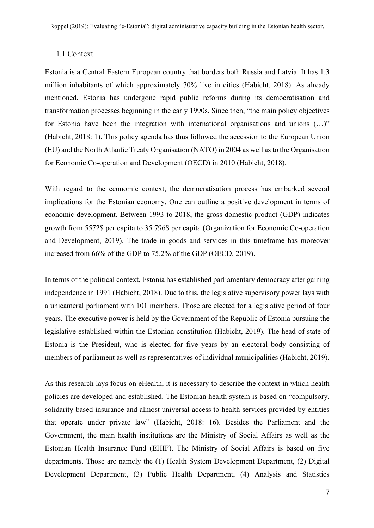#### 1.1 Context

Estonia is a Central Eastern European country that borders both Russia and Latvia. It has 1.3 million inhabitants of which approximately 70% live in cities (Habicht, 2018). As already mentioned, Estonia has undergone rapid public reforms during its democratisation and transformation processes beginning in the early 1990s. Since then, "the main policy objectives for Estonia have been the integration with international organisations and unions  $(...)$ " (Habicht, 2018: 1). This policy agenda has thus followed the accession to the European Union (EU) and the North Atlantic Treaty Organisation (NATO) in 2004 as well as to the Organisation for Economic Co-operation and Development (OECD) in 2010 (Habicht, 2018).

With regard to the economic context, the democratisation process has embarked several implications for the Estonian economy. One can outline a positive development in terms of economic development. Between 1993 to 2018, the gross domestic product (GDP) indicates growth from 5572\$ per capita to 35 796\$ per capita (Organization for Economic Co-operation and Development, 2019). The trade in goods and services in this timeframe has moreover increased from 66% of the GDP to 75.2% of the GDP (OECD, 2019).

In terms of the political context, Estonia has established parliamentary democracy after gaining independence in 1991 (Habicht, 2018). Due to this, the legislative supervisory power lays with a unicameral parliament with 101 members. Those are elected for a legislative period of four years. The executive power is held by the Government of the Republic of Estonia pursuing the legislative established within the Estonian constitution (Habicht, 2019). The head of state of Estonia is the President, who is elected for five years by an electoral body consisting of members of parliament as well as representatives of individual municipalities (Habicht, 2019).

As this research lays focus on eHealth, it is necessary to describe the context in which health policies are developed and established. The Estonian health system is based on "compulsory, solidarity-based insurance and almost universal access to health services provided by entities that operate under private law" (Habicht, 2018: 16). Besides the Parliament and the Government, the main health institutions are the Ministry of Social Affairs as well as the Estonian Health Insurance Fund (EHIF). The Ministry of Social Affairs is based on five departments. Those are namely the (1) Health System Development Department, (2) Digital Development Department, (3) Public Health Department, (4) Analysis and Statistics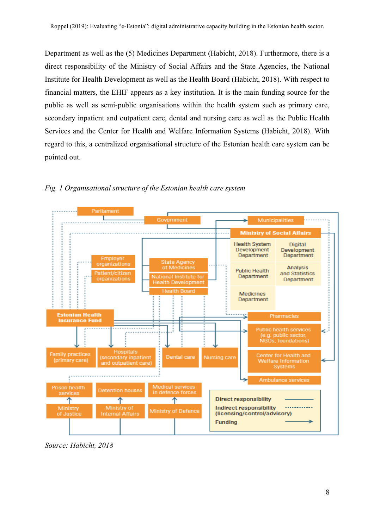Department as well as the (5) Medicines Department (Habicht, 2018). Furthermore, there is a direct responsibility of the Ministry of Social Affairs and the State Agencies, the National Institute for Health Development as well as the Health Board (Habicht, 2018). With respect to financial matters, the EHIF appears as a key institution. It is the main funding source for the public as well as semi-public organisations within the health system such as primary care, secondary inpatient and outpatient care, dental and nursing care as well as the Public Health Services and the Center for Health and Welfare Information Systems (Habicht, 2018). With regard to this, a centralized organisational structure of the Estonian health care system can be pointed out.



*Fig. 1 Organisational structure of the Estonian health care system*

*Source: Habicht, 2018*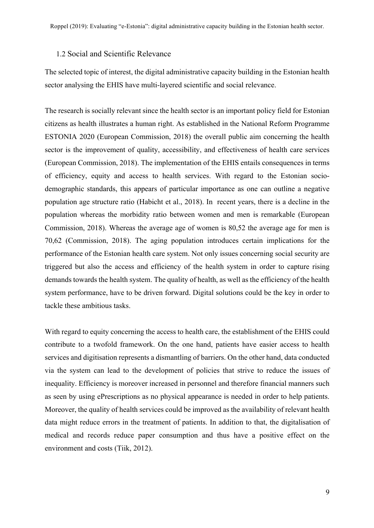#### 1.2 Social and Scientific Relevance

The selected topic of interest, the digital administrative capacity building in the Estonian health sector analysing the EHIS have multi-layered scientific and social relevance.

The research is socially relevant since the health sector is an important policy field for Estonian citizens as health illustrates a human right. As established in the National Reform Programme ESTONIA 2020 (European Commission, 2018) the overall public aim concerning the health sector is the improvement of quality, accessibility, and effectiveness of health care services (European Commission, 2018). The implementation of the EHIS entails consequences in terms of efficiency, equity and access to health services. With regard to the Estonian sociodemographic standards, this appears of particular importance as one can outline a negative population age structure ratio (Habicht et al., 2018). In recent years, there is a decline in the population whereas the morbidity ratio between women and men is remarkable (European Commission, 2018). Whereas the average age of women is 80,52 the average age for men is 70,62 (Commission, 2018). The aging population introduces certain implications for the performance of the Estonian health care system. Not only issues concerning social security are triggered but also the access and efficiency of the health system in order to capture rising demands towards the health system. The quality of health, as well as the efficiency of the health system performance, have to be driven forward. Digital solutions could be the key in order to tackle these ambitious tasks.

With regard to equity concerning the access to health care, the establishment of the EHIS could contribute to a twofold framework. On the one hand, patients have easier access to health services and digitisation represents a dismantling of barriers. On the other hand, data conducted via the system can lead to the development of policies that strive to reduce the issues of inequality. Efficiency is moreover increased in personnel and therefore financial manners such as seen by using ePrescriptions as no physical appearance is needed in order to help patients. Moreover, the quality of health services could be improved as the availability of relevant health data might reduce errors in the treatment of patients. In addition to that, the digitalisation of medical and records reduce paper consumption and thus have a positive effect on the environment and costs (Tiik, 2012).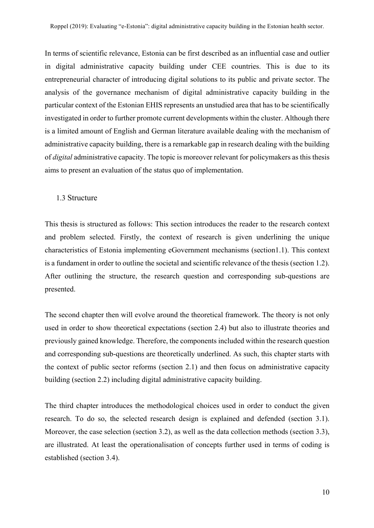In terms of scientific relevance, Estonia can be first described as an influential case and outlier in digital administrative capacity building under CEE countries. This is due to its entrepreneurial character of introducing digital solutions to its public and private sector. The analysis of the governance mechanism of digital administrative capacity building in the particular context of the Estonian EHIS represents an unstudied area that has to be scientifically investigated in order to further promote current developments within the cluster. Although there is a limited amount of English and German literature available dealing with the mechanism of administrative capacity building, there is a remarkable gap in research dealing with the building of *digital* administrative capacity. The topic is moreover relevant for policymakers as this thesis aims to present an evaluation of the status quo of implementation.

#### 1.3 Structure

This thesis is structured as follows: This section introduces the reader to the research context and problem selected. Firstly, the context of research is given underlining the unique characteristics of Estonia implementing eGovernment mechanisms (section1.1). This context is a fundament in order to outline the societal and scientific relevance of the thesis (section 1.2). After outlining the structure, the research question and corresponding sub-questions are presented.

The second chapter then will evolve around the theoretical framework. The theory is not only used in order to show theoretical expectations (section 2.4) but also to illustrate theories and previously gained knowledge. Therefore, the components included within the research question and corresponding sub-questions are theoretically underlined. As such, this chapter starts with the context of public sector reforms (section 2.1) and then focus on administrative capacity building (section 2.2) including digital administrative capacity building.

The third chapter introduces the methodological choices used in order to conduct the given research. To do so, the selected research design is explained and defended (section 3.1). Moreover, the case selection (section 3.2), as well as the data collection methods (section 3.3), are illustrated. At least the operationalisation of concepts further used in terms of coding is established (section 3.4).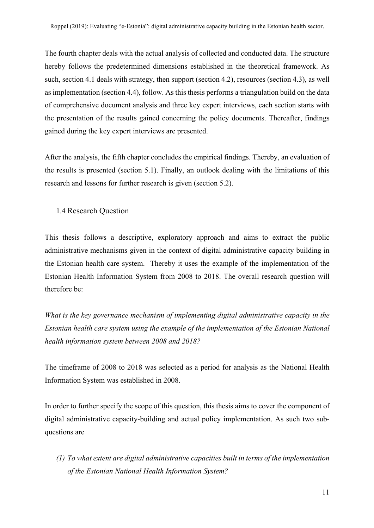The fourth chapter deals with the actual analysis of collected and conducted data. The structure hereby follows the predetermined dimensions established in the theoretical framework. As such, section 4.1 deals with strategy, then support (section 4.2), resources (section 4.3), as well as implementation (section 4.4), follow. As this thesis performs a triangulation build on the data of comprehensive document analysis and three key expert interviews, each section starts with the presentation of the results gained concerning the policy documents. Thereafter, findings gained during the key expert interviews are presented.

After the analysis, the fifth chapter concludes the empirical findings. Thereby, an evaluation of the results is presented (section 5.1). Finally, an outlook dealing with the limitations of this research and lessons for further research is given (section 5.2).

1.4 Research Question

This thesis follows a descriptive, exploratory approach and aims to extract the public administrative mechanisms given in the context of digital administrative capacity building in the Estonian health care system. Thereby it uses the example of the implementation of the Estonian Health Information System from 2008 to 2018. The overall research question will therefore be:

*What is the key governance mechanism of implementing digital administrative capacity in the Estonian health care system using the example of the implementation of the Estonian National health information system between 2008 and 2018?*

The timeframe of 2008 to 2018 was selected as a period for analysis as the National Health Information System was established in 2008.

In order to further specify the scope of this question, this thesis aims to cover the component of digital administrative capacity-building and actual policy implementation. As such two subquestions are

*(1) To what extent are digital administrative capacities built in terms of the implementation of the Estonian National Health Information System?*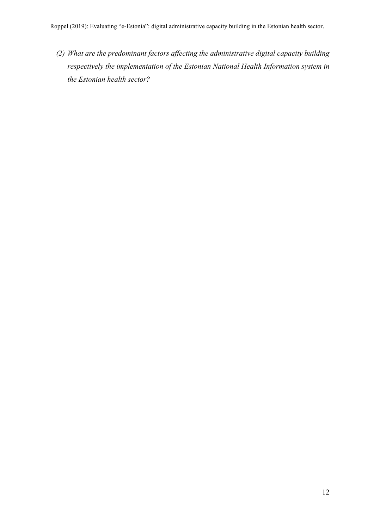*(2) What are the predominant factors affecting the administrative digital capacity building respectively the implementation of the Estonian National Health Information system in the Estonian health sector?*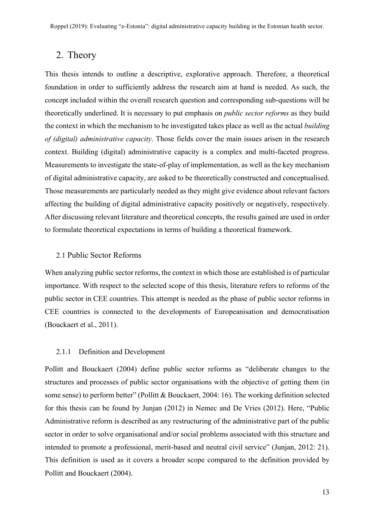# 2. Theory

This thesis intends to outline a descriptive, explorative approach. Therefore, a theoretical foundation in order to sufficiently address the research aim at hand is needed. As such, the concept included within the overall research question and corresponding sub-questions will be theoretically underlined. It is necessary to put emphasis on *public sector reforms* as they build the context in which the mechanism to be investigated takes place as well as the actual *building of (digital) administrative capacity*. Those fields cover the main issues arisen in the research context. Building (digital) administrative capacity is a complex and multi-faceted progress. Measurements to investigate the state-of-play of implementation, as well as the key mechanism of digital administrative capacity, are asked to be theoretically constructed and conceptualised. Those measurements are particularly needed as they might give evidence about relevant factors affecting the building of digital administrative capacity positively or negatively, respectively. After discussing relevant literature and theoretical concepts, the results gained are used in order to formulate theoretical expectations in terms of building a theoretical framework.

#### 2.1 Public Sector Reforms

When analyzing public sector reforms, the context in which those are established is of particular importance. With respect to the selected scope of this thesis, literature refers to reforms of the public sector in CEE countries. This attempt is needed as the phase of public sector reforms in CEE countries is connected to the developments of Europeanisation and democratisation (Bouckaert et al., 2011).

#### 2.1.1 Definition and Development

Pollitt and Bouckaert (2004) define public sector reforms as "deliberate changes to the structures and processes of public sector organisations with the objective of getting them (in some sense) to perform better" (Pollitt & Bouckaert, 2004: 16). The working definition selected for this thesis can be found by Junjan (2012) in Nemec and De Vries (2012). Here, "Public Administrative reform is described as any restructuring of the administrative part of the public sector in order to solve organisational and/or social problems associated with this structure and intended to promote a professional, merit-based and neutral civil service" (Junjan, 2012: 21). This definition is used as it covers a broader scope compared to the definition provided by Pollitt and Bouckaert (2004).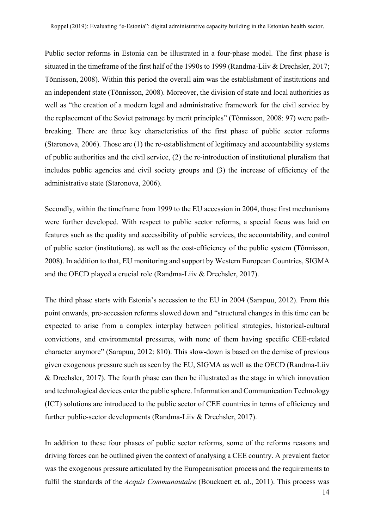Public sector reforms in Estonia can be illustrated in a four-phase model. The first phase is situated in the timeframe of the first half of the 1990s to 1999 (Randma-Liiv & Drechsler, 2017; Tõnnisson, 2008). Within this period the overall aim was the establishment of institutions and an independent state (Tõnnisson, 2008). Moreover, the division of state and local authorities as well as "the creation of a modern legal and administrative framework for the civil service by the replacement of the Soviet patronage by merit principles" (Tõnnisson, 2008: 97) were pathbreaking. There are three key characteristics of the first phase of public sector reforms (Staronova, 2006). Those are (1) the re-establishment of legitimacy and accountability systems of public authorities and the civil service, (2) the re-introduction of institutional pluralism that includes public agencies and civil society groups and (3) the increase of efficiency of the administrative state (Staronova, 2006).

Secondly, within the timeframe from 1999 to the EU accession in 2004, those first mechanisms were further developed. With respect to public sector reforms, a special focus was laid on features such as the quality and accessibility of public services, the accountability, and control of public sector (institutions), as well as the cost-efficiency of the public system (Tõnnisson, 2008). In addition to that, EU monitoring and support by Western European Countries, SIGMA and the OECD played a crucial role (Randma-Liiv & Drechsler, 2017).

The third phase starts with Estonia's accession to the EU in 2004 (Sarapuu, 2012). From this point onwards, pre-accession reforms slowed down and "structural changes in this time can be expected to arise from a complex interplay between political strategies, historical-cultural convictions, and environmental pressures, with none of them having specific CEE-related character anymore" (Sarapuu, 2012: 810). This slow-down is based on the demise of previous given exogenous pressure such as seen by the EU, SIGMA as well as the OECD (Randma-Liiv & Drechsler, 2017). The fourth phase can then be illustrated as the stage in which innovation and technological devices enter the public sphere. Information and Communication Technology (ICT) solutions are introduced to the public sector of CEE countries in terms of efficiency and further public-sector developments (Randma-Liiv & Drechsler, 2017).

In addition to these four phases of public sector reforms, some of the reforms reasons and driving forces can be outlined given the context of analysing a CEE country. A prevalent factor was the exogenous pressure articulated by the Europeanisation process and the requirements to fulfil the standards of the *Acquis Communautaire* (Bouckaert et. al., 2011). This process was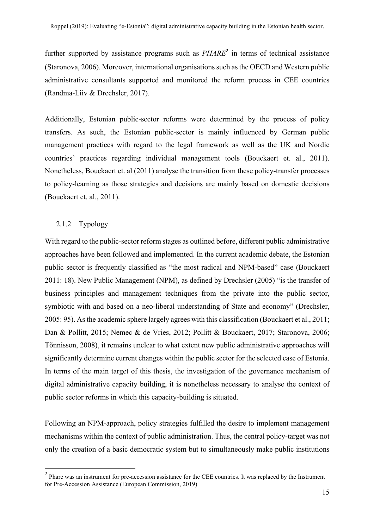further supported by assistance programs such as *PHARE*<sup>2</sup> in terms of technical assistance (Staronova, 2006). Moreover, international organisations such as the OECD and Western public administrative consultants supported and monitored the reform process in CEE countries (Randma-Liiv & Drechsler, 2017).

Additionally, Estonian public-sector reforms were determined by the process of policy transfers. As such, the Estonian public-sector is mainly influenced by German public management practices with regard to the legal framework as well as the UK and Nordic countries' practices regarding individual management tools (Bouckaert et. al., 2011). Nonetheless, Bouckaert et. al (2011) analyse the transition from these policy-transfer processes to policy-learning as those strategies and decisions are mainly based on domestic decisions (Bouckaert et. al., 2011).

#### 2.1.2 Typology

With regard to the public-sector reform stages as outlined before, different public administrative approaches have been followed and implemented. In the current academic debate, the Estonian public sector is frequently classified as "the most radical and NPM-based" case (Bouckaert 2011: 18). New Public Management (NPM), as defined by Drechsler (2005) "is the transfer of business principles and management techniques from the private into the public sector, symbiotic with and based on a neo-liberal understanding of State and economy" (Drechsler, 2005: 95). As the academic sphere largely agrees with this classification (Bouckaert et al., 2011; Dan & Pollitt, 2015; Nemec & de Vries, 2012; Pollitt & Bouckaert, 2017; Staronova, 2006; Tõnnisson, 2008), it remains unclear to what extent new public administrative approaches will significantly determine current changes within the public sector for the selected case of Estonia. In terms of the main target of this thesis, the investigation of the governance mechanism of digital administrative capacity building, it is nonetheless necessary to analyse the context of public sector reforms in which this capacity-building is situated.

Following an NPM-approach, policy strategies fulfilled the desire to implement management mechanisms within the context of public administration. Thus, the central policy-target was not only the creation of a basic democratic system but to simultaneously make public institutions

<sup>&</sup>lt;sup>2</sup> Phare was an instrument for pre-accession assistance for the CEE countries. It was replaced by the Instrument for Pre-Accession Assistance (European Commission, 2019)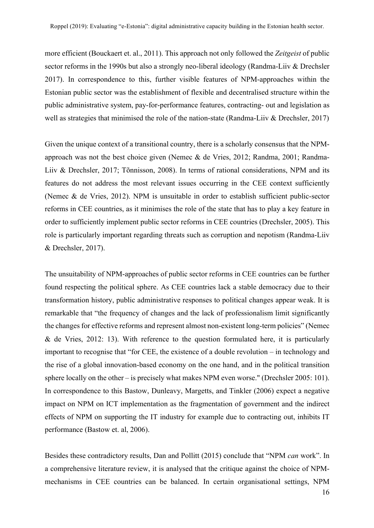more efficient (Bouckaert et. al., 2011). This approach not only followed the *Zeitgeist* of public sector reforms in the 1990s but also a strongly neo-liberal ideology (Randma-Liiv & Drechsler 2017). In correspondence to this, further visible features of NPM-approaches within the Estonian public sector was the establishment of flexible and decentralised structure within the public administrative system, pay-for-performance features, contracting- out and legislation as well as strategies that minimised the role of the nation-state (Randma-Liiv & Drechsler, 2017)

Given the unique context of a transitional country, there is a scholarly consensus that the NPMapproach was not the best choice given (Nemec & de Vries, 2012; Randma, 2001; Randma-Liiv & Drechsler, 2017; Tõnnisson, 2008). In terms of rational considerations, NPM and its features do not address the most relevant issues occurring in the CEE context sufficiently (Nemec & de Vries, 2012). NPM is unsuitable in order to establish sufficient public-sector reforms in CEE countries, as it minimises the role of the state that has to play a key feature in order to sufficiently implement public sector reforms in CEE countries (Drechsler, 2005). This role is particularly important regarding threats such as corruption and nepotism (Randma-Liiv & Drechsler, 2017).

The unsuitability of NPM-approaches of public sector reforms in CEE countries can be further found respecting the political sphere. As CEE countries lack a stable democracy due to their transformation history, public administrative responses to political changes appear weak. It is remarkable that "the frequency of changes and the lack of professionalism limit significantly the changes for effective reforms and represent almost non-existent long-term policies" (Nemec & de Vries, 2012: 13). With reference to the question formulated here, it is particularly important to recognise that "for CEE, the existence of a double revolution – in technology and the rise of a global innovation-based economy on the one hand, and in the political transition sphere locally on the other – is precisely what makes NPM even worse." (Drechsler 2005: 101). In correspondence to this Bastow, Dunleavy, Margetts, and Tinkler (2006) expect a negative impact on NPM on ICT implementation as the fragmentation of government and the indirect effects of NPM on supporting the IT industry for example due to contracting out, inhibits IT performance (Bastow et. al, 2006).

Besides these contradictory results, Dan and Pollitt (2015) conclude that "NPM *can* work". In a comprehensive literature review, it is analysed that the critique against the choice of NPMmechanisms in CEE countries can be balanced. In certain organisational settings, NPM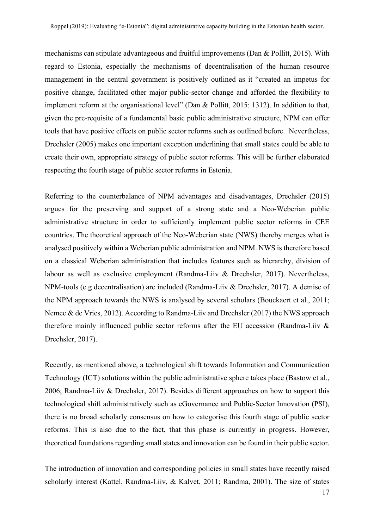mechanisms can stipulate advantageous and fruitful improvements (Dan & Pollitt, 2015). With regard to Estonia, especially the mechanisms of decentralisation of the human resource management in the central government is positively outlined as it "created an impetus for positive change, facilitated other major public-sector change and afforded the flexibility to implement reform at the organisational level" (Dan & Pollitt, 2015: 1312). In addition to that, given the pre-requisite of a fundamental basic public administrative structure, NPM can offer tools that have positive effects on public sector reforms such as outlined before. Nevertheless, Drechsler (2005) makes one important exception underlining that small states could be able to create their own, appropriate strategy of public sector reforms. This will be further elaborated respecting the fourth stage of public sector reforms in Estonia.

Referring to the counterbalance of NPM advantages and disadvantages, Drechsler (2015) argues for the preserving and support of a strong state and a Neo-Weberian public administrative structure in order to sufficiently implement public sector reforms in CEE countries. The theoretical approach of the Neo-Weberian state (NWS) thereby merges what is analysed positively within a Weberian public administration and NPM. NWS is therefore based on a classical Weberian administration that includes features such as hierarchy, division of labour as well as exclusive employment (Randma-Liiv & Drechsler, 2017). Nevertheless, NPM-tools (e.g decentralisation) are included (Randma-Liiv & Drechsler, 2017). A demise of the NPM approach towards the NWS is analysed by several scholars (Bouckaert et al., 2011; Nemec & de Vries, 2012). According to Randma-Liiv and Drechsler (2017) the NWS approach therefore mainly influenced public sector reforms after the EU accession (Randma-Liiv & Drechsler, 2017).

Recently, as mentioned above, a technological shift towards Information and Communication Technology (ICT) solutions within the public administrative sphere takes place (Bastow et al., 2006; Randma-Liiv & Drechsler, 2017). Besides different approaches on how to support this technological shift administratively such as eGovernance and Public-Sector Innovation (PSI), there is no broad scholarly consensus on how to categorise this fourth stage of public sector reforms. This is also due to the fact, that this phase is currently in progress. However, theoretical foundations regarding small states and innovation can be found in their public sector.

The introduction of innovation and corresponding policies in small states have recently raised scholarly interest (Kattel, Randma-Liiv, & Kalvet, 2011; Randma, 2001). The size of states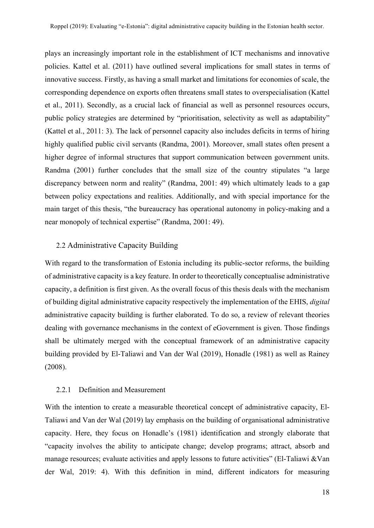plays an increasingly important role in the establishment of ICT mechanisms and innovative policies. Kattel et al. (2011) have outlined several implications for small states in terms of innovative success. Firstly, as having a small market and limitations for economies of scale, the corresponding dependence on exports often threatens small states to overspecialisation (Kattel et al., 2011). Secondly, as a crucial lack of financial as well as personnel resources occurs, public policy strategies are determined by "prioritisation, selectivity as well as adaptability" (Kattel et al., 2011: 3). The lack of personnel capacity also includes deficits in terms of hiring highly qualified public civil servants (Randma, 2001). Moreover, small states often present a higher degree of informal structures that support communication between government units. Randma (2001) further concludes that the small size of the country stipulates "a large discrepancy between norm and reality" (Randma, 2001: 49) which ultimately leads to a gap between policy expectations and realities. Additionally, and with special importance for the main target of this thesis, "the bureaucracy has operational autonomy in policy-making and a near monopoly of technical expertise" (Randma, 2001: 49).

#### 2.2 Administrative Capacity Building

With regard to the transformation of Estonia including its public-sector reforms, the building of administrative capacity is a key feature. In order to theoretically conceptualise administrative capacity, a definition is first given. As the overall focus of this thesis deals with the mechanism of building digital administrative capacity respectively the implementation of the EHIS, *digital*  administrative capacity building is further elaborated. To do so, a review of relevant theories dealing with governance mechanisms in the context of eGovernment is given. Those findings shall be ultimately merged with the conceptual framework of an administrative capacity building provided by El-Taliawi and Van der Wal (2019), Honadle (1981) as well as Rainey (2008).

#### 2.2.1 Definition and Measurement

With the intention to create a measurable theoretical concept of administrative capacity, El-Taliawi and Van der Wal (2019) lay emphasis on the building of organisational administrative capacity. Here, they focus on Honadle's (1981) identification and strongly elaborate that "capacity involves the ability to anticipate change; develop programs; attract, absorb and manage resources; evaluate activities and apply lessons to future activities" (El-Taliawi &Van der Wal, 2019: 4). With this definition in mind, different indicators for measuring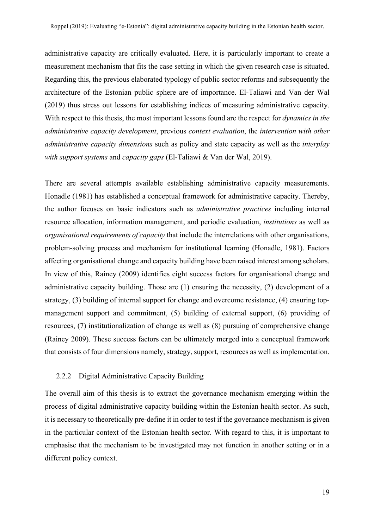administrative capacity are critically evaluated. Here, it is particularly important to create a measurement mechanism that fits the case setting in which the given research case is situated. Regarding this, the previous elaborated typology of public sector reforms and subsequently the architecture of the Estonian public sphere are of importance. El-Taliawi and Van der Wal (2019) thus stress out lessons for establishing indices of measuring administrative capacity. With respect to this thesis, the most important lessons found are the respect for *dynamics in the administrative capacity development*, previous *context evaluation*, the *intervention with other administrative capacity dimensions* such as policy and state capacity as well as the *interplay with support systems* and *capacity gaps* (El-Taliawi & Van der Wal, 2019).

There are several attempts available establishing administrative capacity measurements. Honadle (1981) has established a conceptual framework for administrative capacity. Thereby, the author focuses on basic indicators such as *administrative practices* including internal resource allocation, information management, and periodic evaluation, *institutions* as well as *organisational requirements of capacity* that include the interrelations with other organisations, problem-solving process and mechanism for institutional learning (Honadle, 1981). Factors affecting organisational change and capacity building have been raised interest among scholars. In view of this, Rainey (2009) identifies eight success factors for organisational change and administrative capacity building. Those are (1) ensuring the necessity, (2) development of a strategy, (3) building of internal support for change and overcome resistance, (4) ensuring topmanagement support and commitment, (5) building of external support, (6) providing of resources, (7) institutionalization of change as well as (8) pursuing of comprehensive change (Rainey 2009). These success factors can be ultimately merged into a conceptual framework that consists of four dimensions namely, strategy, support, resources as well as implementation.

#### 2.2.2 Digital Administrative Capacity Building

The overall aim of this thesis is to extract the governance mechanism emerging within the process of digital administrative capacity building within the Estonian health sector. As such, it is necessary to theoretically pre-define it in order to test if the governance mechanism is given in the particular context of the Estonian health sector. With regard to this, it is important to emphasise that the mechanism to be investigated may not function in another setting or in a different policy context.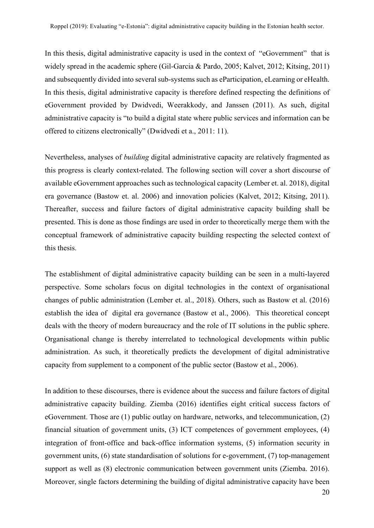In this thesis, digital administrative capacity is used in the context of "eGovernment" that is widely spread in the academic sphere (Gil-Garcia & Pardo, 2005; Kalvet, 2012; Kitsing, 2011) and subsequently divided into several sub-systems such as eParticipation, eLearning or eHealth. In this thesis, digital administrative capacity is therefore defined respecting the definitions of eGovernment provided by Dwidvedi, Weerakkody, and Janssen (2011). As such, digital administrative capacity is "to build a digital state where public services and information can be offered to citizens electronically" (Dwidvedi et a., 2011: 11).

Nevertheless, analyses of *building* digital administrative capacity are relatively fragmented as this progress is clearly context-related. The following section will cover a short discourse of available eGovernment approaches such as technological capacity (Lember et. al. 2018), digital era governance (Bastow et. al. 2006) and innovation policies (Kalvet, 2012; Kitsing, 2011). Thereafter, success and failure factors of digital administrative capacity building shall be presented. This is done as those findings are used in order to theoretically merge them with the conceptual framework of administrative capacity building respecting the selected context of this thesis.

The establishment of digital administrative capacity building can be seen in a multi-layered perspective. Some scholars focus on digital technologies in the context of organisational changes of public administration (Lember et. al., 2018). Others, such as Bastow et al. (2016) establish the idea of digital era governance (Bastow et al., 2006). This theoretical concept deals with the theory of modern bureaucracy and the role of IT solutions in the public sphere. Organisational change is thereby interrelated to technological developments within public administration. As such, it theoretically predicts the development of digital administrative capacity from supplement to a component of the public sector (Bastow et al., 2006).

In addition to these discourses, there is evidence about the success and failure factors of digital administrative capacity building. Ziemba (2016) identifies eight critical success factors of eGovernment. Those are (1) public outlay on hardware, networks, and telecommunication, (2) financial situation of government units, (3) ICT competences of government employees, (4) integration of front-office and back-office information systems, (5) information security in government units, (6) state standardisation of solutions for e-government, (7) top-management support as well as (8) electronic communication between government units (Ziemba. 2016). Moreover, single factors determining the building of digital administrative capacity have been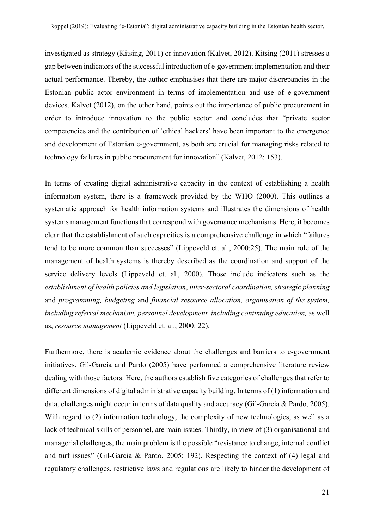investigated as strategy (Kitsing, 2011) or innovation (Kalvet, 2012). Kitsing (2011) stresses a gap between indicators of the successful introduction of e-government implementation and their actual performance. Thereby, the author emphasises that there are major discrepancies in the Estonian public actor environment in terms of implementation and use of e-government devices. Kalvet (2012), on the other hand, points out the importance of public procurement in order to introduce innovation to the public sector and concludes that "private sector competencies and the contribution of 'ethical hackers' have been important to the emergence and development of Estonian e-government, as both are crucial for managing risks related to technology failures in public procurement for innovation" (Kalvet, 2012: 153).

In terms of creating digital administrative capacity in the context of establishing a health information system, there is a framework provided by the WHO (2000). This outlines a systematic approach for health information systems and illustrates the dimensions of health systems management functions that correspond with governance mechanisms. Here, it becomes clear that the establishment of such capacities is a comprehensive challenge in which "failures tend to be more common than successes" (Lippeveld et. al., 2000:25). The main role of the management of health systems is thereby described as the coordination and support of the service delivery levels (Lippeveld et. al., 2000). Those include indicators such as the *establishment of health policies and legislation*, *inter-sectoral coordination, strategic planning* and *programming, budgeting* and *financial resource allocation, organisation of the system, including referral mechanism, personnel development, including continuing education,* as well as, *resource management* (Lippeveld et. al., 2000: 22).

Furthermore, there is academic evidence about the challenges and barriers to e-government initiatives. Gil-Garcia and Pardo (2005) have performed a comprehensive literature review dealing with those factors. Here, the authors establish five categories of challenges that refer to different dimensions of digital administrative capacity building. In terms of (1) information and data, challenges might occur in terms of data quality and accuracy (Gil-Garcia & Pardo, 2005). With regard to (2) information technology, the complexity of new technologies, as well as a lack of technical skills of personnel, are main issues. Thirdly, in view of (3) organisational and managerial challenges, the main problem is the possible "resistance to change, internal conflict and turf issues" (Gil-Garcia & Pardo, 2005: 192). Respecting the context of (4) legal and regulatory challenges, restrictive laws and regulations are likely to hinder the development of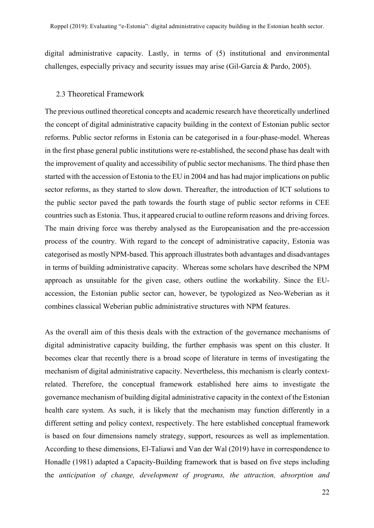digital administrative capacity. Lastly, in terms of (5) institutional and environmental challenges, especially privacy and security issues may arise (Gil-Garcia & Pardo, 2005).

#### 2.3 Theoretical Framework

The previous outlined theoretical concepts and academic research have theoretically underlined the concept of digital administrative capacity building in the context of Estonian public sector reforms. Public sector reforms in Estonia can be categorised in a four-phase-model. Whereas in the first phase general public institutions were re-established, the second phase has dealt with the improvement of quality and accessibility of public sector mechanisms. The third phase then started with the accession of Estonia to the EU in 2004 and has had major implications on public sector reforms, as they started to slow down. Thereafter, the introduction of ICT solutions to the public sector paved the path towards the fourth stage of public sector reforms in CEE countries such as Estonia. Thus, it appeared crucial to outline reform reasons and driving forces. The main driving force was thereby analysed as the Europeanisation and the pre-accession process of the country. With regard to the concept of administrative capacity, Estonia was categorised as mostly NPM-based. This approach illustrates both advantages and disadvantages in terms of building administrative capacity. Whereas some scholars have described the NPM approach as unsuitable for the given case, others outline the workability. Since the EUaccession, the Estonian public sector can, however, be typologized as Neo-Weberian as it combines classical Weberian public administrative structures with NPM features.

As the overall aim of this thesis deals with the extraction of the governance mechanisms of digital administrative capacity building, the further emphasis was spent on this cluster. It becomes clear that recently there is a broad scope of literature in terms of investigating the mechanism of digital administrative capacity. Nevertheless, this mechanism is clearly contextrelated. Therefore, the conceptual framework established here aims to investigate the governance mechanism of building digital administrative capacity in the context of the Estonian health care system. As such, it is likely that the mechanism may function differently in a different setting and policy context, respectively. The here established conceptual framework is based on four dimensions namely strategy, support, resources as well as implementation. According to these dimensions, El-Taliawi and Van der Wal (2019) have in correspondence to Honadle (1981) adapted a Capacity-Building framework that is based on five steps including the *anticipation of change, development of programs, the attraction, absorption and*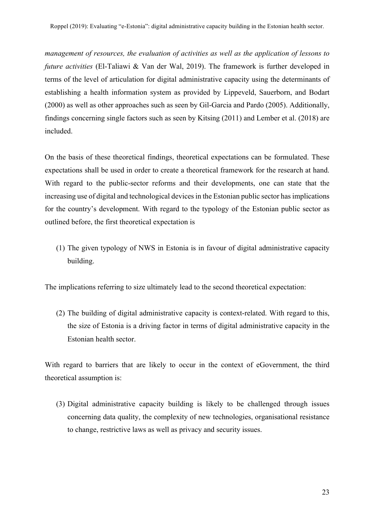*management of resources, the evaluation of activities as well as the application of lessons to future activities* (El-Taliawi & Van der Wal, 2019). The framework is further developed in terms of the level of articulation for digital administrative capacity using the determinants of establishing a health information system as provided by Lippeveld, Sauerborn, and Bodart (2000) as well as other approaches such as seen by Gil-Garcia and Pardo (2005). Additionally, findings concerning single factors such as seen by Kitsing (2011) and Lember et al. (2018) are included.

On the basis of these theoretical findings, theoretical expectations can be formulated. These expectations shall be used in order to create a theoretical framework for the research at hand. With regard to the public-sector reforms and their developments, one can state that the increasing use of digital and technological devices in the Estonian public sector has implications for the country's development. With regard to the typology of the Estonian public sector as outlined before, the first theoretical expectation is

(1) The given typology of NWS in Estonia is in favour of digital administrative capacity building.

The implications referring to size ultimately lead to the second theoretical expectation:

(2) The building of digital administrative capacity is context-related. With regard to this, the size of Estonia is a driving factor in terms of digital administrative capacity in the Estonian health sector.

With regard to barriers that are likely to occur in the context of eGovernment, the third theoretical assumption is:

(3) Digital administrative capacity building is likely to be challenged through issues concerning data quality, the complexity of new technologies, organisational resistance to change, restrictive laws as well as privacy and security issues.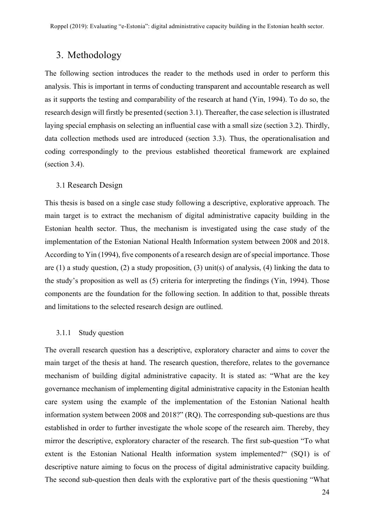# 3. Methodology

The following section introduces the reader to the methods used in order to perform this analysis. This is important in terms of conducting transparent and accountable research as well as it supports the testing and comparability of the research at hand (Yin, 1994). To do so, the research design will firstly be presented (section 3.1). Thereafter, the case selection is illustrated laying special emphasis on selecting an influential case with a small size (section 3.2). Thirdly, data collection methods used are introduced (section 3.3). Thus, the operationalisation and coding correspondingly to the previous established theoretical framework are explained (section 3.4).

#### 3.1 Research Design

This thesis is based on a single case study following a descriptive, explorative approach. The main target is to extract the mechanism of digital administrative capacity building in the Estonian health sector. Thus, the mechanism is investigated using the case study of the implementation of the Estonian National Health Information system between 2008 and 2018. According to Yin (1994), five components of a research design are of special importance. Those are (1) a study question, (2) a study proposition, (3) unit(s) of analysis, (4) linking the data to the study's proposition as well as (5) criteria for interpreting the findings (Yin, 1994). Those components are the foundation for the following section. In addition to that, possible threats and limitations to the selected research design are outlined.

#### 3.1.1 Study question

The overall research question has a descriptive, exploratory character and aims to cover the main target of the thesis at hand. The research question, therefore, relates to the governance mechanism of building digital administrative capacity. It is stated as: "What are the key governance mechanism of implementing digital administrative capacity in the Estonian health care system using the example of the implementation of the Estonian National health information system between 2008 and 2018?" (RQ). The corresponding sub-questions are thus established in order to further investigate the whole scope of the research aim. Thereby, they mirror the descriptive, exploratory character of the research. The first sub-question "To what extent is the Estonian National Health information system implemented?" (SQ1) is of descriptive nature aiming to focus on the process of digital administrative capacity building. The second sub-question then deals with the explorative part of the thesis questioning "What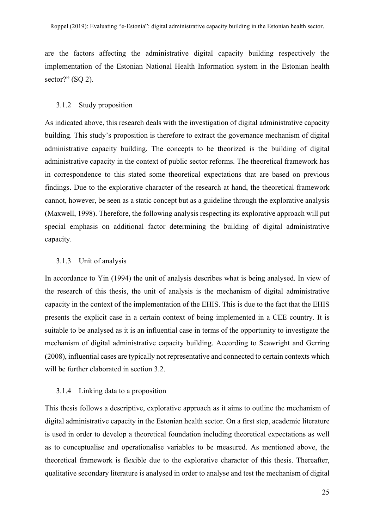are the factors affecting the administrative digital capacity building respectively the implementation of the Estonian National Health Information system in the Estonian health sector?" (SQ 2).

#### 3.1.2 Study proposition

As indicated above, this research deals with the investigation of digital administrative capacity building. This study's proposition is therefore to extract the governance mechanism of digital administrative capacity building. The concepts to be theorized is the building of digital administrative capacity in the context of public sector reforms. The theoretical framework has in correspondence to this stated some theoretical expectations that are based on previous findings. Due to the explorative character of the research at hand, the theoretical framework cannot, however, be seen as a static concept but as a guideline through the explorative analysis (Maxwell, 1998). Therefore, the following analysis respecting its explorative approach will put special emphasis on additional factor determining the building of digital administrative capacity.

#### 3.1.3 Unit of analysis

In accordance to Yin (1994) the unit of analysis describes what is being analysed. In view of the research of this thesis, the unit of analysis is the mechanism of digital administrative capacity in the context of the implementation of the EHIS. This is due to the fact that the EHIS presents the explicit case in a certain context of being implemented in a CEE country. It is suitable to be analysed as it is an influential case in terms of the opportunity to investigate the mechanism of digital administrative capacity building. According to Seawright and Gerring (2008), influential cases are typically not representative and connected to certain contexts which will be further elaborated in section 3.2.

#### 3.1.4 Linking data to a proposition

This thesis follows a descriptive, explorative approach as it aims to outline the mechanism of digital administrative capacity in the Estonian health sector. On a first step, academic literature is used in order to develop a theoretical foundation including theoretical expectations as well as to conceptualise and operationalise variables to be measured. As mentioned above, the theoretical framework is flexible due to the explorative character of this thesis. Thereafter, qualitative secondary literature is analysed in order to analyse and test the mechanism of digital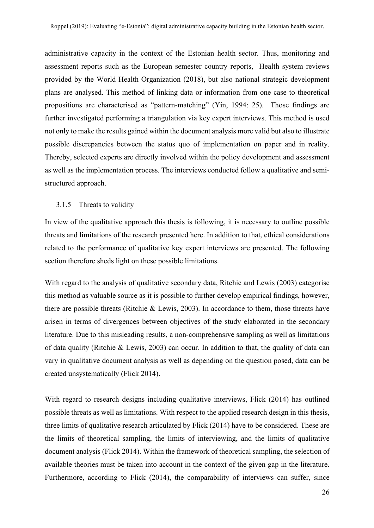administrative capacity in the context of the Estonian health sector. Thus, monitoring and assessment reports such as the European semester country reports, Health system reviews provided by the World Health Organization (2018), but also national strategic development plans are analysed. This method of linking data or information from one case to theoretical propositions are characterised as "pattern-matching" (Yin, 1994: 25). Those findings are further investigated performing a triangulation via key expert interviews. This method is used not only to make the results gained within the document analysis more valid but also to illustrate possible discrepancies between the status quo of implementation on paper and in reality. Thereby, selected experts are directly involved within the policy development and assessment as well as the implementation process. The interviews conducted follow a qualitative and semistructured approach.

#### 3.1.5 Threats to validity

In view of the qualitative approach this thesis is following, it is necessary to outline possible threats and limitations of the research presented here. In addition to that, ethical considerations related to the performance of qualitative key expert interviews are presented. The following section therefore sheds light on these possible limitations.

With regard to the analysis of qualitative secondary data, Ritchie and Lewis (2003) categorise this method as valuable source as it is possible to further develop empirical findings, however, there are possible threats (Ritchie & Lewis, 2003). In accordance to them, those threats have arisen in terms of divergences between objectives of the study elaborated in the secondary literature. Due to this misleading results, a non-comprehensive sampling as well as limitations of data quality (Ritchie & Lewis, 2003) can occur. In addition to that, the quality of data can vary in qualitative document analysis as well as depending on the question posed, data can be created unsystematically (Flick 2014).

With regard to research designs including qualitative interviews, Flick (2014) has outlined possible threats as well as limitations. With respect to the applied research design in this thesis, three limits of qualitative research articulated by Flick (2014) have to be considered. These are the limits of theoretical sampling, the limits of interviewing, and the limits of qualitative document analysis (Flick 2014). Within the framework of theoretical sampling, the selection of available theories must be taken into account in the context of the given gap in the literature. Furthermore, according to Flick (2014), the comparability of interviews can suffer, since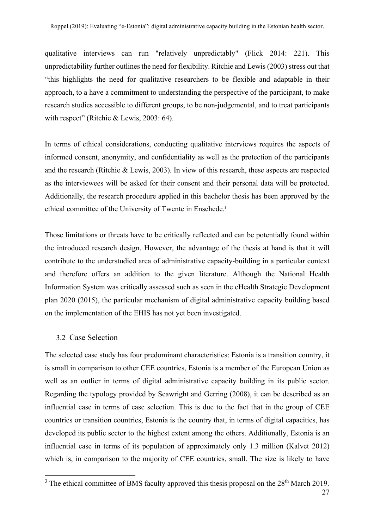qualitative interviews can run "relatively unpredictably" (Flick 2014: 221). This unpredictability further outlines the need for flexibility. Ritchie and Lewis (2003) stress out that "this highlights the need for qualitative researchers to be flexible and adaptable in their approach, to a have a commitment to understanding the perspective of the participant, to make research studies accessible to different groups, to be non-judgemental, and to treat participants with respect" (Ritchie & Lewis, 2003: 64).

In terms of ethical considerations, conducting qualitative interviews requires the aspects of informed consent, anonymity, and confidentiality as well as the protection of the participants and the research (Ritchie & Lewis, 2003). In view of this research, these aspects are respected as the interviewees will be asked for their consent and their personal data will be protected. Additionally, the research procedure applied in this bachelor thesis has been approved by the ethical committee of the University of Twente in Enschede.<sup>3</sup>

Those limitations or threats have to be critically reflected and can be potentially found within the introduced research design. However, the advantage of the thesis at hand is that it will contribute to the understudied area of administrative capacity-building in a particular context and therefore offers an addition to the given literature. Although the National Health Information System was critically assessed such as seen in the eHealth Strategic Development plan 2020 (2015), the particular mechanism of digital administrative capacity building based on the implementation of the EHIS has not yet been investigated.

#### 3.2 Case Selection

The selected case study has four predominant characteristics: Estonia is a transition country, it is small in comparison to other CEE countries, Estonia is a member of the European Union as well as an outlier in terms of digital administrative capacity building in its public sector. Regarding the typology provided by Seawright and Gerring (2008), it can be described as an influential case in terms of case selection. This is due to the fact that in the group of CEE countries or transition countries, Estonia is the country that, in terms of digital capacities, has developed its public sector to the highest extent among the others. Additionally, Estonia is an influential case in terms of its population of approximately only 1.3 million (Kalvet 2012) which is, in comparison to the majority of CEE countries, small. The size is likely to have

 $3$  The ethical committee of BMS faculty approved this thesis proposal on the  $28<sup>th</sup>$  March 2019.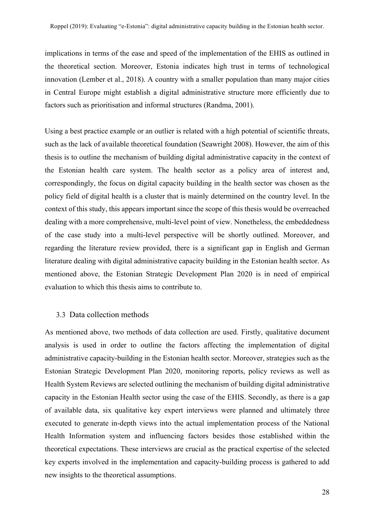implications in terms of the ease and speed of the implementation of the EHIS as outlined in the theoretical section. Moreover, Estonia indicates high trust in terms of technological innovation (Lember et al., 2018). A country with a smaller population than many major cities in Central Europe might establish a digital administrative structure more efficiently due to factors such as prioritisation and informal structures (Randma, 2001).

Using a best practice example or an outlier is related with a high potential of scientific threats, such as the lack of available theoretical foundation (Seawright 2008). However, the aim of this thesis is to outline the mechanism of building digital administrative capacity in the context of the Estonian health care system. The health sector as a policy area of interest and, correspondingly, the focus on digital capacity building in the health sector was chosen as the policy field of digital health is a cluster that is mainly determined on the country level. In the context of this study, this appears important since the scope of this thesis would be overreached dealing with a more comprehensive, multi-level point of view. Nonetheless, the embeddedness of the case study into a multi-level perspective will be shortly outlined. Moreover, and regarding the literature review provided, there is a significant gap in English and German literature dealing with digital administrative capacity building in the Estonian health sector. As mentioned above, the Estonian Strategic Development Plan 2020 is in need of empirical evaluation to which this thesis aims to contribute to.

#### 3.3 Data collection methods

As mentioned above, two methods of data collection are used. Firstly, qualitative document analysis is used in order to outline the factors affecting the implementation of digital administrative capacity-building in the Estonian health sector. Moreover, strategies such as the Estonian Strategic Development Plan 2020, monitoring reports, policy reviews as well as Health System Reviews are selected outlining the mechanism of building digital administrative capacity in the Estonian Health sector using the case of the EHIS. Secondly, as there is a gap of available data, six qualitative key expert interviews were planned and ultimately three executed to generate in-depth views into the actual implementation process of the National Health Information system and influencing factors besides those established within the theoretical expectations. These interviews are crucial as the practical expertise of the selected key experts involved in the implementation and capacity-building process is gathered to add new insights to the theoretical assumptions.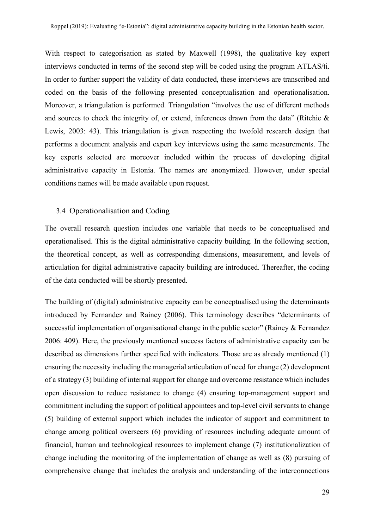With respect to categorisation as stated by Maxwell (1998), the qualitative key expert interviews conducted in terms of the second step will be coded using the program ATLAS/ti. In order to further support the validity of data conducted, these interviews are transcribed and coded on the basis of the following presented conceptualisation and operationalisation. Moreover, a triangulation is performed. Triangulation "involves the use of different methods and sources to check the integrity of, or extend, inferences drawn from the data" (Ritchie & Lewis, 2003: 43). This triangulation is given respecting the twofold research design that performs a document analysis and expert key interviews using the same measurements. The key experts selected are moreover included within the process of developing digital administrative capacity in Estonia. The names are anonymized. However, under special conditions names will be made available upon request.

#### 3.4 Operationalisation and Coding

The overall research question includes one variable that needs to be conceptualised and operationalised. This is the digital administrative capacity building. In the following section, the theoretical concept, as well as corresponding dimensions, measurement, and levels of articulation for digital administrative capacity building are introduced. Thereafter, the coding of the data conducted will be shortly presented.

The building of (digital) administrative capacity can be conceptualised using the determinants introduced by Fernandez and Rainey (2006). This terminology describes "determinants of successful implementation of organisational change in the public sector" (Rainey & Fernandez 2006: 409). Here, the previously mentioned success factors of administrative capacity can be described as dimensions further specified with indicators. Those are as already mentioned (1) ensuring the necessity including the managerial articulation of need for change (2) development of a strategy (3) building of internal support for change and overcome resistance which includes open discussion to reduce resistance to change (4) ensuring top-management support and commitment including the support of political appointees and top-level civil servants to change (5) building of external support which includes the indicator of support and commitment to change among political overseers (6) providing of resources including adequate amount of financial, human and technological resources to implement change (7) institutionalization of change including the monitoring of the implementation of change as well as (8) pursuing of comprehensive change that includes the analysis and understanding of the interconnections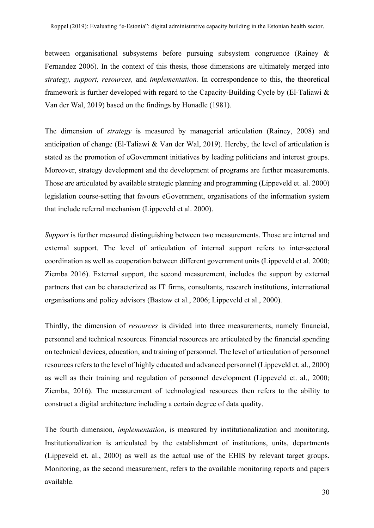between organisational subsystems before pursuing subsystem congruence (Rainey & Fernandez 2006). In the context of this thesis, those dimensions are ultimately merged into *strategy, support, resources,* and *implementation.* In correspondence to this, the theoretical framework is further developed with regard to the Capacity-Building Cycle by (El-Taliawi & Van der Wal, 2019) based on the findings by Honadle (1981).

The dimension of *strategy* is measured by managerial articulation (Rainey, 2008) and anticipation of change (El-Taliawi & Van der Wal, 2019). Hereby, the level of articulation is stated as the promotion of eGovernment initiatives by leading politicians and interest groups. Moreover, strategy development and the development of programs are further measurements. Those are articulated by available strategic planning and programming (Lippeveld et. al. 2000) legislation course-setting that favours eGovernment, organisations of the information system that include referral mechanism (Lippeveld et al. 2000).

*Support* is further measured distinguishing between two measurements. Those are internal and external support. The level of articulation of internal support refers to inter-sectoral coordination as well as cooperation between different government units (Lippeveld et al. 2000; Ziemba 2016). External support, the second measurement, includes the support by external partners that can be characterized as IT firms, consultants, research institutions, international organisations and policy advisors (Bastow et al., 2006; Lippeveld et al., 2000).

Thirdly, the dimension of *resources* is divided into three measurements, namely financial, personnel and technical resources. Financial resources are articulated by the financial spending on technical devices, education, and training of personnel. The level of articulation of personnel resources refers to the level of highly educated and advanced personnel (Lippeveld et. al., 2000) as well as their training and regulation of personnel development (Lippeveld et. al., 2000; Ziemba, 2016). The measurement of technological resources then refers to the ability to construct a digital architecture including a certain degree of data quality.

The fourth dimension, *implementation*, is measured by institutionalization and monitoring. Institutionalization is articulated by the establishment of institutions, units, departments (Lippeveld et. al., 2000) as well as the actual use of the EHIS by relevant target groups. Monitoring, as the second measurement, refers to the available monitoring reports and papers available.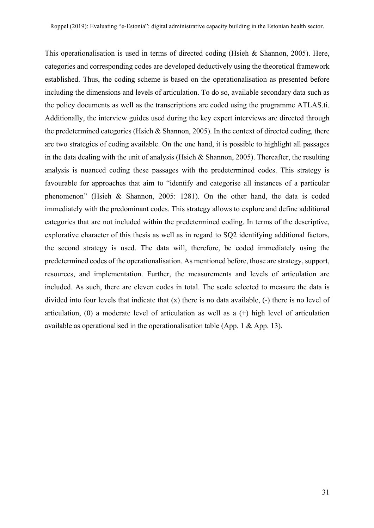This operationalisation is used in terms of directed coding (Hsieh & Shannon, 2005). Here, categories and corresponding codes are developed deductively using the theoretical framework established. Thus, the coding scheme is based on the operationalisation as presented before including the dimensions and levels of articulation. To do so, available secondary data such as the policy documents as well as the transcriptions are coded using the programme ATLAS.ti. Additionally, the interview guides used during the key expert interviews are directed through the predetermined categories (Hsieh & Shannon, 2005). In the context of directed coding, there are two strategies of coding available. On the one hand, it is possible to highlight all passages in the data dealing with the unit of analysis (Hsieh & Shannon, 2005). Thereafter, the resulting analysis is nuanced coding these passages with the predetermined codes. This strategy is favourable for approaches that aim to "identify and categorise all instances of a particular phenomenon" (Hsieh & Shannon, 2005: 1281). On the other hand, the data is coded immediately with the predominant codes. This strategy allows to explore and define additional categories that are not included within the predetermined coding. In terms of the descriptive, explorative character of this thesis as well as in regard to SQ2 identifying additional factors, the second strategy is used. The data will, therefore, be coded immediately using the predetermined codes of the operationalisation. As mentioned before, those are strategy, support, resources, and implementation. Further, the measurements and levels of articulation are included. As such, there are eleven codes in total. The scale selected to measure the data is divided into four levels that indicate that (x) there is no data available, (-) there is no level of articulation, (0) a moderate level of articulation as well as a (+) high level of articulation available as operationalised in the operationalisation table (App. 1 & App. 13).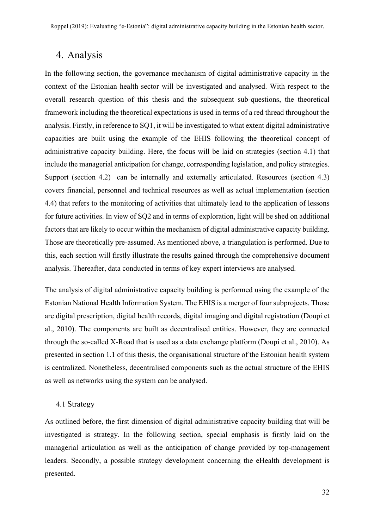# 4. Analysis

In the following section, the governance mechanism of digital administrative capacity in the context of the Estonian health sector will be investigated and analysed. With respect to the overall research question of this thesis and the subsequent sub-questions, the theoretical framework including the theoretical expectations is used in terms of a red thread throughout the analysis. Firstly, in reference to SQ1, it will be investigated to what extent digital administrative capacities are built using the example of the EHIS following the theoretical concept of administrative capacity building. Here, the focus will be laid on strategies (section 4.1) that include the managerial anticipation for change, corresponding legislation, and policy strategies. Support (section 4.2) can be internally and externally articulated. Resources (section 4.3) covers financial, personnel and technical resources as well as actual implementation (section 4.4) that refers to the monitoring of activities that ultimately lead to the application of lessons for future activities. In view of SQ2 and in terms of exploration, light will be shed on additional factors that are likely to occur within the mechanism of digital administrative capacity building. Those are theoretically pre-assumed. As mentioned above, a triangulation is performed. Due to this, each section will firstly illustrate the results gained through the comprehensive document analysis. Thereafter, data conducted in terms of key expert interviews are analysed.

The analysis of digital administrative capacity building is performed using the example of the Estonian National Health Information System. The EHIS is a merger of four subprojects. Those are digital prescription, digital health records, digital imaging and digital registration (Doupi et al., 2010). The components are built as decentralised entities. However, they are connected through the so-called X-Road that is used as a data exchange platform (Doupi et al., 2010). As presented in section 1.1 of this thesis, the organisational structure of the Estonian health system is centralized. Nonetheless, decentralised components such as the actual structure of the EHIS as well as networks using the system can be analysed.

#### 4.1 Strategy

As outlined before, the first dimension of digital administrative capacity building that will be investigated is strategy. In the following section, special emphasis is firstly laid on the managerial articulation as well as the anticipation of change provided by top-management leaders. Secondly, a possible strategy development concerning the eHealth development is presented.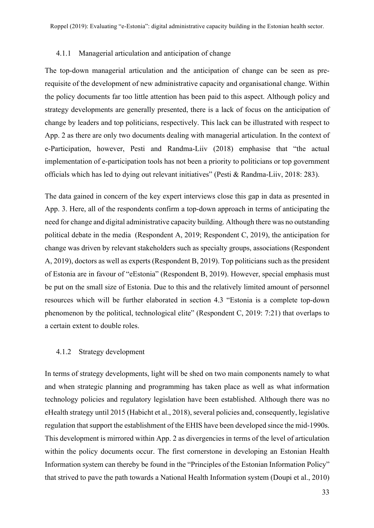#### 4.1.1 Managerial articulation and anticipation of change

The top-down managerial articulation and the anticipation of change can be seen as prerequisite of the development of new administrative capacity and organisational change. Within the policy documents far too little attention has been paid to this aspect. Although policy and strategy developments are generally presented, there is a lack of focus on the anticipation of change by leaders and top politicians, respectively. This lack can be illustrated with respect to App. 2 as there are only two documents dealing with managerial articulation. In the context of e-Participation, however, Pesti and Randma-Liiv (2018) emphasise that "the actual implementation of e-participation tools has not been a priority to politicians or top government officials which has led to dying out relevant initiatives" (Pesti & Randma-Liiv, 2018: 283).

The data gained in concern of the key expert interviews close this gap in data as presented in App. 3. Here, all of the respondents confirm a top-down approach in terms of anticipating the need for change and digital administrative capacity building. Although there was no outstanding political debate in the media (Respondent A, 2019; Respondent C, 2019), the anticipation for change was driven by relevant stakeholders such as specialty groups, associations (Respondent A, 2019), doctors as well as experts (Respondent B, 2019). Top politicians such as the president of Estonia are in favour of "eEstonia" (Respondent B, 2019). However, special emphasis must be put on the small size of Estonia. Due to this and the relatively limited amount of personnel resources which will be further elaborated in section 4.3 "Estonia is a complete top-down phenomenon by the political, technological elite" (Respondent C, 2019: 7:21) that overlaps to a certain extent to double roles.

#### 4.1.2 Strategy development

In terms of strategy developments, light will be shed on two main components namely to what and when strategic planning and programming has taken place as well as what information technology policies and regulatory legislation have been established. Although there was no eHealth strategy until 2015 (Habicht et al., 2018), several policies and, consequently, legislative regulation that support the establishment of the EHIS have been developed since the mid-1990s. This development is mirrored within App. 2 as divergencies in terms of the level of articulation within the policy documents occur. The first cornerstone in developing an Estonian Health Information system can thereby be found in the "Principles of the Estonian Information Policy" that strived to pave the path towards a National Health Information system (Doupi et al., 2010)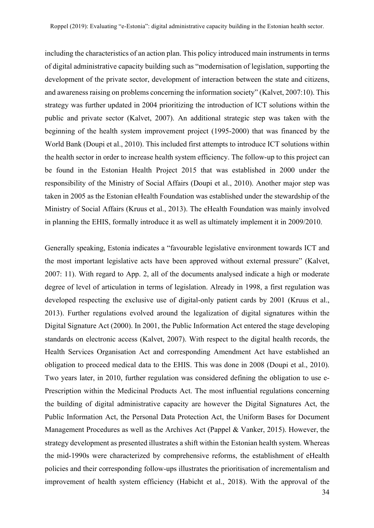including the characteristics of an action plan. This policy introduced main instruments in terms of digital administrative capacity building such as "modernisation of legislation, supporting the development of the private sector, development of interaction between the state and citizens, and awareness raising on problems concerning the information society" (Kalvet, 2007:10). This strategy was further updated in 2004 prioritizing the introduction of ICT solutions within the public and private sector (Kalvet, 2007). An additional strategic step was taken with the beginning of the health system improvement project (1995-2000) that was financed by the World Bank (Doupi et al., 2010). This included first attempts to introduce ICT solutions within the health sector in order to increase health system efficiency. The follow-up to this project can be found in the Estonian Health Project 2015 that was established in 2000 under the responsibility of the Ministry of Social Affairs (Doupi et al., 2010). Another major step was taken in 2005 as the Estonian eHealth Foundation was established under the stewardship of the Ministry of Social Affairs (Kruus et al., 2013). The eHealth Foundation was mainly involved in planning the EHIS, formally introduce it as well as ultimately implement it in 2009/2010.

Generally speaking, Estonia indicates a "favourable legislative environment towards ICT and the most important legislative acts have been approved without external pressure" (Kalvet, 2007: 11). With regard to App. 2, all of the documents analysed indicate a high or moderate degree of level of articulation in terms of legislation. Already in 1998, a first regulation was developed respecting the exclusive use of digital-only patient cards by 2001 (Kruus et al., 2013). Further regulations evolved around the legalization of digital signatures within the Digital Signature Act (2000). In 2001, the Public Information Act entered the stage developing standards on electronic access (Kalvet, 2007). With respect to the digital health records, the Health Services Organisation Act and corresponding Amendment Act have established an obligation to proceed medical data to the EHIS. This was done in 2008 (Doupi et al., 2010). Two years later, in 2010, further regulation was considered defining the obligation to use e-Prescription within the Medicinal Products Act. The most influential regulations concerning the building of digital administrative capacity are however the Digital Signatures Act, the Public Information Act, the Personal Data Protection Act, the Uniform Bases for Document Management Procedures as well as the Archives Act (Pappel & Vanker, 2015). However, the strategy development as presented illustrates a shift within the Estonian health system. Whereas the mid-1990s were characterized by comprehensive reforms, the establishment of eHealth policies and their corresponding follow-ups illustrates the prioritisation of incrementalism and improvement of health system efficiency (Habicht et al., 2018). With the approval of the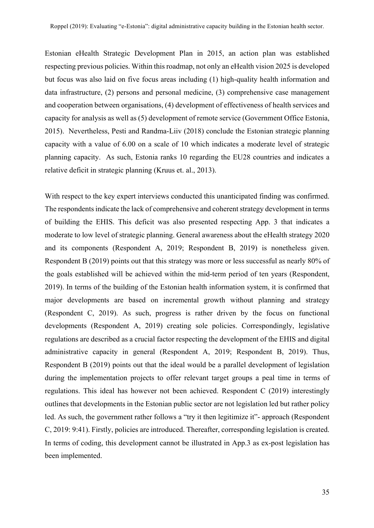Estonian eHealth Strategic Development Plan in 2015, an action plan was established respecting previous policies. Within this roadmap, not only an eHealth vision 2025 is developed but focus was also laid on five focus areas including (1) high-quality health information and data infrastructure, (2) persons and personal medicine, (3) comprehensive case management and cooperation between organisations, (4) development of effectiveness of health services and capacity for analysis as well as (5) development of remote service (Government Office Estonia, 2015). Nevertheless, Pesti and Randma-Liiv (2018) conclude the Estonian strategic planning capacity with a value of 6.00 on a scale of 10 which indicates a moderate level of strategic planning capacity. As such, Estonia ranks 10 regarding the EU28 countries and indicates a relative deficit in strategic planning (Kruus et. al., 2013).

With respect to the key expert interviews conducted this unanticipated finding was confirmed. The respondents indicate the lack of comprehensive and coherent strategy development in terms of building the EHIS. This deficit was also presented respecting App. 3 that indicates a moderate to low level of strategic planning. General awareness about the eHealth strategy 2020 and its components (Respondent A, 2019; Respondent B, 2019) is nonetheless given. Respondent B (2019) points out that this strategy was more or less successful as nearly 80% of the goals established will be achieved within the mid-term period of ten years (Respondent, 2019). In terms of the building of the Estonian health information system, it is confirmed that major developments are based on incremental growth without planning and strategy (Respondent C, 2019). As such, progress is rather driven by the focus on functional developments (Respondent A, 2019) creating sole policies. Correspondingly, legislative regulations are described as a crucial factor respecting the development of the EHIS and digital administrative capacity in general (Respondent A, 2019; Respondent B, 2019). Thus, Respondent B (2019) points out that the ideal would be a parallel development of legislation during the implementation projects to offer relevant target groups a peal time in terms of regulations. This ideal has however not been achieved. Respondent C (2019) interestingly outlines that developments in the Estonian public sector are not legislation led but rather policy led. As such, the government rather follows a "try it then legitimize it"- approach (Respondent C, 2019: 9:41). Firstly, policies are introduced. Thereafter, corresponding legislation is created. In terms of coding, this development cannot be illustrated in App.3 as ex-post legislation has been implemented.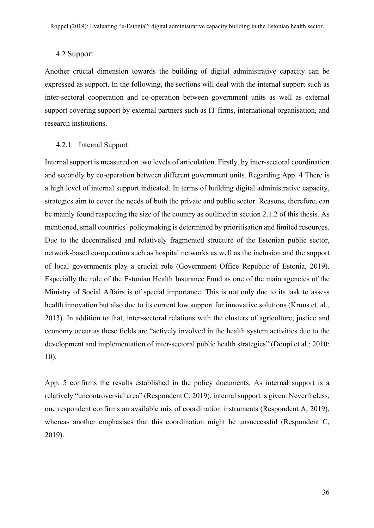#### 4.2 Support

Another crucial dimension towards the building of digital administrative capacity can be expressed as support. In the following, the sections will deal with the internal support such as inter-sectoral cooperation and co-operation between government units as well as external support covering support by external partners such as IT firms, international organisation, and research institutions.

#### 4.2.1 Internal Support

Internal support is measured on two levels of articulation. Firstly, by inter-sectoral coordination and secondly by co-operation between different government units. Regarding App. 4 There is a high level of internal support indicated. In terms of building digital administrative capacity, strategies aim to cover the needs of both the private and public sector. Reasons, therefore, can be mainly found respecting the size of the country as outlined in section 2.1.2 of this thesis. As mentioned, small countries' policymaking is determined by prioritisation and limited resources. Due to the decentralised and relatively fragmented structure of the Estonian public sector, network-based co-operation such as hospital networks as well as the inclusion and the support of local governments play a crucial role (Government Office Republic of Estonia, 2019). Especially the role of the Estonian Health Insurance Fund as one of the main agencies of the Ministry of Social Affairs is of special importance. This is not only due to its task to assess health innovation but also due to its current low support for innovative solutions (Kruus et. al., 2013). In addition to that, inter-sectoral relations with the clusters of agriculture, justice and economy occur as these fields are "actively involved in the health system activities due to the development and implementation of inter-sectoral public health strategies" (Doupi et al.; 2010: 10).

App. 5 confirms the results established in the policy documents. As internal support is a relatively "uncontroversial area" (Respondent C, 2019), internal support is given. Nevertheless, one respondent confirms an available mix of coordination instruments (Respondent A, 2019), whereas another emphasises that this coordination might be unsuccessful (Respondent C, 2019).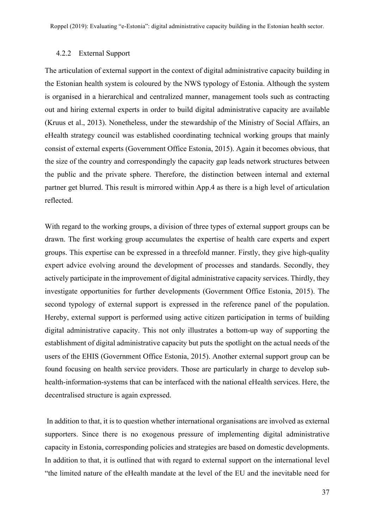#### 4.2.2 External Support

The articulation of external support in the context of digital administrative capacity building in the Estonian health system is coloured by the NWS typology of Estonia. Although the system is organised in a hierarchical and centralized manner, management tools such as contracting out and hiring external experts in order to build digital administrative capacity are available (Kruus et al., 2013). Nonetheless, under the stewardship of the Ministry of Social Affairs, an eHealth strategy council was established coordinating technical working groups that mainly consist of external experts (Government Office Estonia, 2015). Again it becomes obvious, that the size of the country and correspondingly the capacity gap leads network structures between the public and the private sphere. Therefore, the distinction between internal and external partner get blurred. This result is mirrored within App.4 as there is a high level of articulation reflected.

With regard to the working groups, a division of three types of external support groups can be drawn. The first working group accumulates the expertise of health care experts and expert groups. This expertise can be expressed in a threefold manner. Firstly, they give high-quality expert advice evolving around the development of processes and standards. Secondly, they actively participate in the improvement of digital administrative capacity services. Thirdly, they investigate opportunities for further developments (Government Office Estonia, 2015). The second typology of external support is expressed in the reference panel of the population. Hereby, external support is performed using active citizen participation in terms of building digital administrative capacity. This not only illustrates a bottom-up way of supporting the establishment of digital administrative capacity but puts the spotlight on the actual needs of the users of the EHIS (Government Office Estonia, 2015). Another external support group can be found focusing on health service providers. Those are particularly in charge to develop subhealth-information-systems that can be interfaced with the national eHealth services. Here, the decentralised structure is again expressed.

In addition to that, it is to question whether international organisations are involved as external supporters. Since there is no exogenous pressure of implementing digital administrative capacity in Estonia, corresponding policies and strategies are based on domestic developments. In addition to that, it is outlined that with regard to external support on the international level "the limited nature of the eHealth mandate at the level of the EU and the inevitable need for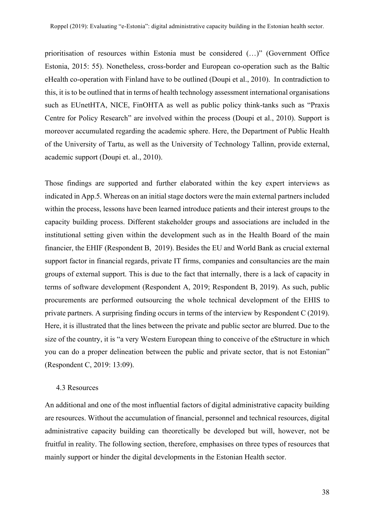prioritisation of resources within Estonia must be considered (…)" (Government Office Estonia, 2015: 55). Nonetheless, cross-border and European co-operation such as the Baltic eHealth co-operation with Finland have to be outlined (Doupi et al., 2010). In contradiction to this, it is to be outlined that in terms of health technology assessment international organisations such as EUnetHTA, NICE, FinOHTA as well as public policy think-tanks such as "Praxis Centre for Policy Research" are involved within the process (Doupi et al., 2010). Support is moreover accumulated regarding the academic sphere. Here, the Department of Public Health of the University of Tartu, as well as the University of Technology Tallinn, provide external, academic support (Doupi et. al., 2010).

Those findings are supported and further elaborated within the key expert interviews as indicated in App.5. Whereas on an initial stage doctors were the main external partners included within the process, lessons have been learned introduce patients and their interest groups to the capacity building process. Different stakeholder groups and associations are included in the institutional setting given within the development such as in the Health Board of the main financier, the EHIF (Respondent B, 2019). Besides the EU and World Bank as crucial external support factor in financial regards, private IT firms, companies and consultancies are the main groups of external support. This is due to the fact that internally, there is a lack of capacity in terms of software development (Respondent A, 2019; Respondent B, 2019). As such, public procurements are performed outsourcing the whole technical development of the EHIS to private partners. A surprising finding occurs in terms of the interview by Respondent C (2019). Here, it is illustrated that the lines between the private and public sector are blurred. Due to the size of the country, it is "a very Western European thing to conceive of the eStructure in which you can do a proper delineation between the public and private sector, that is not Estonian" (Respondent C, 2019: 13:09).

#### 4.3 Resources

An additional and one of the most influential factors of digital administrative capacity building are resources. Without the accumulation of financial, personnel and technical resources, digital administrative capacity building can theoretically be developed but will, however, not be fruitful in reality. The following section, therefore, emphasises on three types of resources that mainly support or hinder the digital developments in the Estonian Health sector.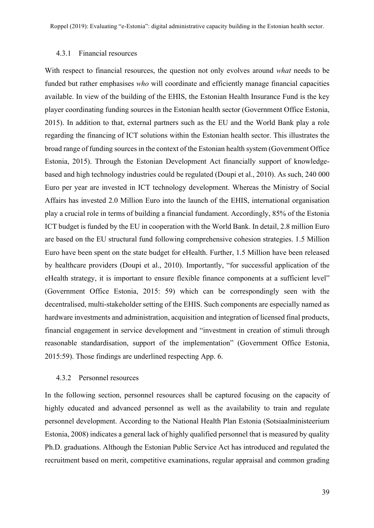#### 4.3.1 Financial resources

With respect to financial resources, the question not only evolves around *what* needs to be funded but rather emphasises *who* will coordinate and efficiently manage financial capacities available. In view of the building of the EHIS, the Estonian Health Insurance Fund is the key player coordinating funding sources in the Estonian health sector (Government Office Estonia, 2015). In addition to that, external partners such as the EU and the World Bank play a role regarding the financing of ICT solutions within the Estonian health sector. This illustrates the broad range of funding sources in the context of the Estonian health system (Government Office Estonia, 2015). Through the Estonian Development Act financially support of knowledgebased and high technology industries could be regulated (Doupi et al., 2010). As such, 240 000 Euro per year are invested in ICT technology development. Whereas the Ministry of Social Affairs has invested 2.0 Million Euro into the launch of the EHIS, international organisation play a crucial role in terms of building a financial fundament. Accordingly, 85% of the Estonia ICT budget is funded by the EU in cooperation with the World Bank. In detail, 2.8 million Euro are based on the EU structural fund following comprehensive cohesion strategies. 1.5 Million Euro have been spent on the state budget for eHealth. Further, 1.5 Million have been released by healthcare providers (Doupi et al., 2010). Importantly, "for successful application of the eHealth strategy, it is important to ensure flexible finance components at a sufficient level" (Government Office Estonia, 2015: 59) which can be correspondingly seen with the decentralised, multi-stakeholder setting of the EHIS. Such components are especially named as hardware investments and administration, acquisition and integration of licensed final products, financial engagement in service development and "investment in creation of stimuli through reasonable standardisation, support of the implementation" (Government Office Estonia, 2015:59). Those findings are underlined respecting App. 6.

#### 4.3.2 Personnel resources

In the following section, personnel resources shall be captured focusing on the capacity of highly educated and advanced personnel as well as the availability to train and regulate personnel development. According to the National Health Plan Estonia (Sotsiaalministeerium Estonia, 2008) indicates a general lack of highly qualified personnel that is measured by quality Ph.D. graduations. Although the Estonian Public Service Act has introduced and regulated the recruitment based on merit, competitive examinations, regular appraisal and common grading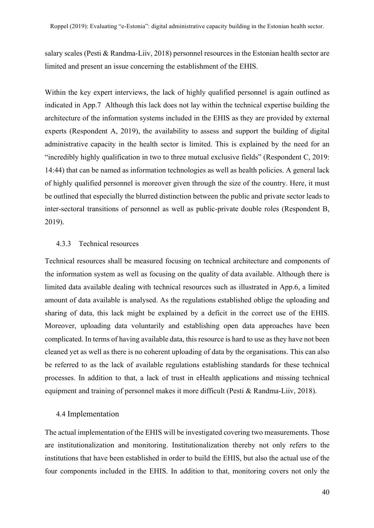salary scales (Pesti & Randma-Liiv, 2018) personnel resources in the Estonian health sector are limited and present an issue concerning the establishment of the EHIS.

Within the key expert interviews, the lack of highly qualified personnel is again outlined as indicated in App.7 Although this lack does not lay within the technical expertise building the architecture of the information systems included in the EHIS as they are provided by external experts (Respondent A, 2019), the availability to assess and support the building of digital administrative capacity in the health sector is limited. This is explained by the need for an "incredibly highly qualification in two to three mutual exclusive fields" (Respondent C, 2019: 14:44) that can be named as information technologies as well as health policies. A general lack of highly qualified personnel is moreover given through the size of the country. Here, it must be outlined that especially the blurred distinction between the public and private sector leads to inter-sectoral transitions of personnel as well as public-private double roles (Respondent B, 2019).

#### 4.3.3 Technical resources

Technical resources shall be measured focusing on technical architecture and components of the information system as well as focusing on the quality of data available. Although there is limited data available dealing with technical resources such as illustrated in App.6, a limited amount of data available is analysed. As the regulations established oblige the uploading and sharing of data, this lack might be explained by a deficit in the correct use of the EHIS. Moreover, uploading data voluntarily and establishing open data approaches have been complicated. In terms of having available data, this resource is hard to use as they have not been cleaned yet as well as there is no coherent uploading of data by the organisations. This can also be referred to as the lack of available regulations establishing standards for these technical processes. In addition to that, a lack of trust in eHealth applications and missing technical equipment and training of personnel makes it more difficult (Pesti & Randma-Liiv, 2018).

#### 4.4 Implementation

The actual implementation of the EHIS will be investigated covering two measurements. Those are institutionalization and monitoring. Institutionalization thereby not only refers to the institutions that have been established in order to build the EHIS, but also the actual use of the four components included in the EHIS. In addition to that, monitoring covers not only the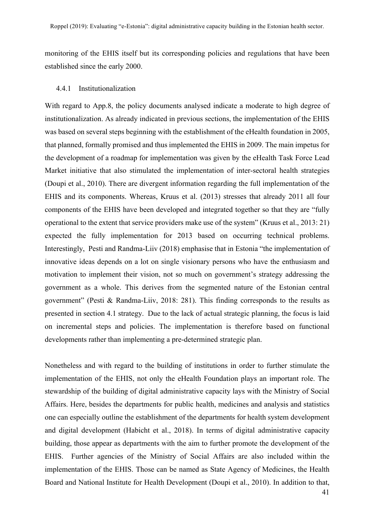monitoring of the EHIS itself but its corresponding policies and regulations that have been established since the early 2000.

#### 4.4.1 Institutionalization

With regard to App.8, the policy documents analysed indicate a moderate to high degree of institutionalization. As already indicated in previous sections, the implementation of the EHIS was based on several steps beginning with the establishment of the eHealth foundation in 2005, that planned, formally promised and thus implemented the EHIS in 2009. The main impetus for the development of a roadmap for implementation was given by the eHealth Task Force Lead Market initiative that also stimulated the implementation of inter-sectoral health strategies (Doupi et al., 2010). There are divergent information regarding the full implementation of the EHIS and its components. Whereas, Kruus et al. (2013) stresses that already 2011 all four components of the EHIS have been developed and integrated together so that they are "fully operational to the extent that service providers make use of the system" (Kruus et al., 2013: 21) expected the fully implementation for 2013 based on occurring technical problems. Interestingly, Pesti and Randma-Liiv (2018) emphasise that in Estonia "the implementation of innovative ideas depends on a lot on single visionary persons who have the enthusiasm and motivation to implement their vision, not so much on government's strategy addressing the government as a whole. This derives from the segmented nature of the Estonian central government" (Pesti & Randma-Liiv, 2018: 281). This finding corresponds to the results as presented in section 4.1 strategy. Due to the lack of actual strategic planning, the focus is laid on incremental steps and policies. The implementation is therefore based on functional developments rather than implementing a pre-determined strategic plan.

Nonetheless and with regard to the building of institutions in order to further stimulate the implementation of the EHIS, not only the eHealth Foundation plays an important role. The stewardship of the building of digital administrative capacity lays with the Ministry of Social Affairs. Here, besides the departments for public health, medicines and analysis and statistics one can especially outline the establishment of the departments for health system development and digital development (Habicht et al., 2018). In terms of digital administrative capacity building, those appear as departments with the aim to further promote the development of the EHIS. Further agencies of the Ministry of Social Affairs are also included within the implementation of the EHIS. Those can be named as State Agency of Medicines, the Health Board and National Institute for Health Development (Doupi et al., 2010). In addition to that,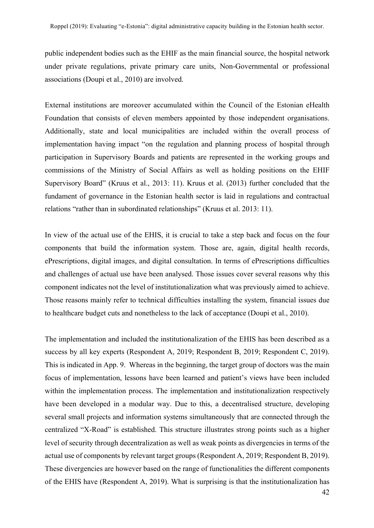public independent bodies such as the EHIF as the main financial source, the hospital network under private regulations, private primary care units, Non-Governmental or professional associations (Doupi et al., 2010) are involved.

External institutions are moreover accumulated within the Council of the Estonian eHealth Foundation that consists of eleven members appointed by those independent organisations. Additionally, state and local municipalities are included within the overall process of implementation having impact "on the regulation and planning process of hospital through participation in Supervisory Boards and patients are represented in the working groups and commissions of the Ministry of Social Affairs as well as holding positions on the EHIF Supervisory Board" (Kruus et al., 2013: 11). Kruus et al. (2013) further concluded that the fundament of governance in the Estonian health sector is laid in regulations and contractual relations "rather than in subordinated relationships" (Kruus et al. 2013: 11).

In view of the actual use of the EHIS, it is crucial to take a step back and focus on the four components that build the information system. Those are, again, digital health records, ePrescriptions, digital images, and digital consultation. In terms of ePrescriptions difficulties and challenges of actual use have been analysed. Those issues cover several reasons why this component indicates not the level of institutionalization what was previously aimed to achieve. Those reasons mainly refer to technical difficulties installing the system, financial issues due to healthcare budget cuts and nonetheless to the lack of acceptance (Doupi et al., 2010).

The implementation and included the institutionalization of the EHIS has been described as a success by all key experts (Respondent A, 2019; Respondent B, 2019; Respondent C, 2019). This is indicated in App. 9. Whereas in the beginning, the target group of doctors was the main focus of implementation, lessons have been learned and patient's views have been included within the implementation process. The implementation and institutionalization respectively have been developed in a modular way. Due to this, a decentralised structure, developing several small projects and information systems simultaneously that are connected through the centralized "X-Road" is established. This structure illustrates strong points such as a higher level of security through decentralization as well as weak points as divergencies in terms of the actual use of components by relevant target groups (Respondent A, 2019; Respondent B, 2019). These divergencies are however based on the range of functionalities the different components of the EHIS have (Respondent A, 2019). What is surprising is that the institutionalization has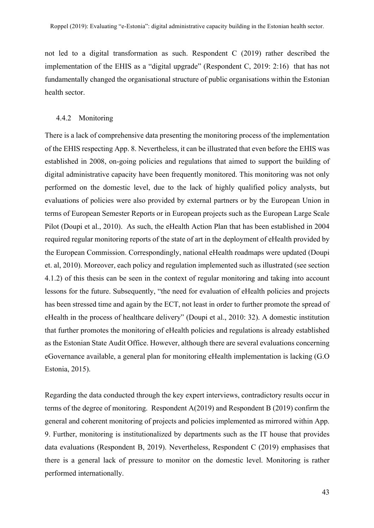not led to a digital transformation as such. Respondent C (2019) rather described the implementation of the EHIS as a "digital upgrade" (Respondent C, 2019: 2:16) that has not fundamentally changed the organisational structure of public organisations within the Estonian health sector.

#### 4.4.2 Monitoring

There is a lack of comprehensive data presenting the monitoring process of the implementation of the EHIS respecting App. 8. Nevertheless, it can be illustrated that even before the EHIS was established in 2008, on-going policies and regulations that aimed to support the building of digital administrative capacity have been frequently monitored. This monitoring was not only performed on the domestic level, due to the lack of highly qualified policy analysts, but evaluations of policies were also provided by external partners or by the European Union in terms of European Semester Reports or in European projects such as the European Large Scale Pilot (Doupi et al., 2010). As such, the eHealth Action Plan that has been established in 2004 required regular monitoring reports of the state of art in the deployment of eHealth provided by the European Commission. Correspondingly, national eHealth roadmaps were updated (Doupi et. al, 2010). Moreover, each policy and regulation implemented such as illustrated (see section 4.1.2) of this thesis can be seen in the context of regular monitoring and taking into account lessons for the future. Subsequently, "the need for evaluation of eHealth policies and projects has been stressed time and again by the ECT, not least in order to further promote the spread of eHealth in the process of healthcare delivery" (Doupi et al., 2010: 32). A domestic institution that further promotes the monitoring of eHealth policies and regulations is already established as the Estonian State Audit Office. However, although there are several evaluations concerning eGovernance available, a general plan for monitoring eHealth implementation is lacking (G.O Estonia, 2015).

Regarding the data conducted through the key expert interviews, contradictory results occur in terms of the degree of monitoring. Respondent A(2019) and Respondent B (2019) confirm the general and coherent monitoring of projects and policies implemented as mirrored within App. 9. Further, monitoring is institutionalized by departments such as the IT house that provides data evaluations (Respondent B, 2019). Nevertheless, Respondent C (2019) emphasises that there is a general lack of pressure to monitor on the domestic level. Monitoring is rather performed internationally.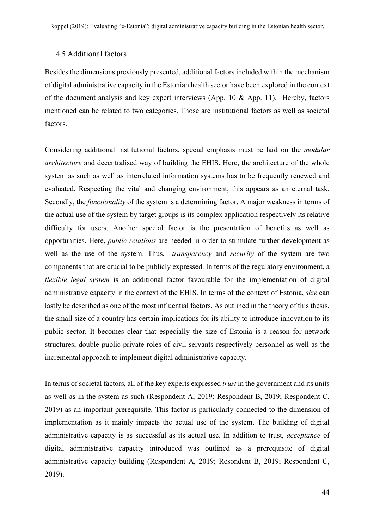#### 4.5 Additional factors

Besides the dimensions previously presented, additional factors included within the mechanism of digital administrative capacity in the Estonian health sector have been explored in the context of the document analysis and key expert interviews (App. 10 & App. 11). Hereby, factors mentioned can be related to two categories. Those are institutional factors as well as societal factors.

Considering additional institutional factors, special emphasis must be laid on the *modular architecture* and decentralised way of building the EHIS. Here, the architecture of the whole system as such as well as interrelated information systems has to be frequently renewed and evaluated. Respecting the vital and changing environment, this appears as an eternal task. Secondly, the *functionality* of the system is a determining factor. A major weakness in terms of the actual use of the system by target groups is its complex application respectively its relative difficulty for users. Another special factor is the presentation of benefits as well as opportunities. Here, *public relations* are needed in order to stimulate further development as well as the use of the system. Thus, *transparency* and *security* of the system are two components that are crucial to be publicly expressed. In terms of the regulatory environment, a *flexible legal system* is an additional factor favourable for the implementation of digital administrative capacity in the context of the EHIS. In terms of the context of Estonia, *size* can lastly be described as one of the most influential factors. As outlined in the theory of this thesis, the small size of a country has certain implications for its ability to introduce innovation to its public sector. It becomes clear that especially the size of Estonia is a reason for network structures, double public-private roles of civil servants respectively personnel as well as the incremental approach to implement digital administrative capacity.

In terms of societal factors, all of the key experts expressed *trust* in the government and its units as well as in the system as such (Respondent A, 2019; Respondent B, 2019; Respondent C, 2019) as an important prerequisite. This factor is particularly connected to the dimension of implementation as it mainly impacts the actual use of the system. The building of digital administrative capacity is as successful as its actual use. In addition to trust, *acceptance* of digital administrative capacity introduced was outlined as a prerequisite of digital administrative capacity building (Respondent A, 2019; Resondent B, 2019; Respondent C, 2019).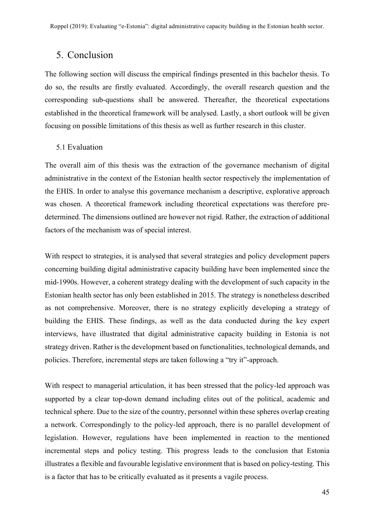# 5. Conclusion

The following section will discuss the empirical findings presented in this bachelor thesis. To do so, the results are firstly evaluated. Accordingly, the overall research question and the corresponding sub-questions shall be answered. Thereafter, the theoretical expectations established in the theoretical framework will be analysed. Lastly, a short outlook will be given focusing on possible limitations of this thesis as well as further research in this cluster.

#### 5.1 Evaluation

The overall aim of this thesis was the extraction of the governance mechanism of digital administrative in the context of the Estonian health sector respectively the implementation of the EHIS. In order to analyse this governance mechanism a descriptive, explorative approach was chosen. A theoretical framework including theoretical expectations was therefore predetermined. The dimensions outlined are however not rigid. Rather, the extraction of additional factors of the mechanism was of special interest.

With respect to strategies, it is analysed that several strategies and policy development papers concerning building digital administrative capacity building have been implemented since the mid-1990s. However, a coherent strategy dealing with the development of such capacity in the Estonian health sector has only been established in 2015. The strategy is nonetheless described as not comprehensive. Moreover, there is no strategy explicitly developing a strategy of building the EHIS. These findings, as well as the data conducted during the key expert interviews, have illustrated that digital administrative capacity building in Estonia is not strategy driven. Rather is the development based on functionalities, technological demands, and policies. Therefore, incremental steps are taken following a "try it"-approach.

With respect to managerial articulation, it has been stressed that the policy-led approach was supported by a clear top-down demand including elites out of the political, academic and technical sphere. Due to the size of the country, personnel within these spheres overlap creating a network. Correspondingly to the policy-led approach, there is no parallel development of legislation. However, regulations have been implemented in reaction to the mentioned incremental steps and policy testing. This progress leads to the conclusion that Estonia illustrates a flexible and favourable legislative environment that is based on policy-testing. This is a factor that has to be critically evaluated as it presents a vagile process.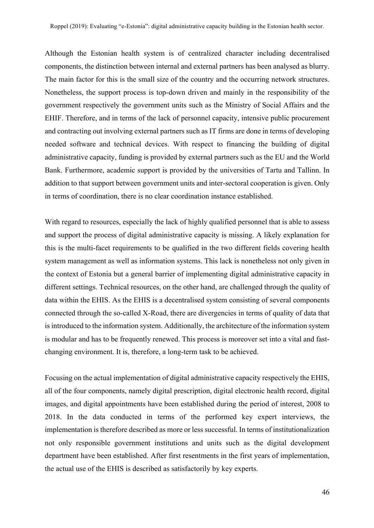Although the Estonian health system is of centralized character including decentralised components, the distinction between internal and external partners has been analysed as blurry. The main factor for this is the small size of the country and the occurring network structures. Nonetheless, the support process is top-down driven and mainly in the responsibility of the government respectively the government units such as the Ministry of Social Affairs and the EHIF. Therefore, and in terms of the lack of personnel capacity, intensive public procurement and contracting out involving external partners such as IT firms are done in terms of developing needed software and technical devices. With respect to financing the building of digital administrative capacity, funding is provided by external partners such as the EU and the World Bank. Furthermore, academic support is provided by the universities of Tartu and Tallinn. In addition to that support between government units and inter-sectoral cooperation is given. Only in terms of coordination, there is no clear coordination instance established.

With regard to resources, especially the lack of highly qualified personnel that is able to assess and support the process of digital administrative capacity is missing. A likely explanation for this is the multi-facet requirements to be qualified in the two different fields covering health system management as well as information systems. This lack is nonetheless not only given in the context of Estonia but a general barrier of implementing digital administrative capacity in different settings. Technical resources, on the other hand, are challenged through the quality of data within the EHIS. As the EHIS is a decentralised system consisting of several components connected through the so-called X-Road, there are divergencies in terms of quality of data that is introduced to the information system. Additionally, the architecture of the information system is modular and has to be frequently renewed. This process is moreover set into a vital and fastchanging environment. It is, therefore, a long-term task to be achieved.

Focusing on the actual implementation of digital administrative capacity respectively the EHIS, all of the four components, namely digital prescription, digital electronic health record, digital images, and digital appointments have been established during the period of interest, 2008 to 2018. In the data conducted in terms of the performed key expert interviews, the implementation is therefore described as more or less successful. In terms of institutionalization not only responsible government institutions and units such as the digital development department have been established. After first resentments in the first years of implementation, the actual use of the EHIS is described as satisfactorily by key experts.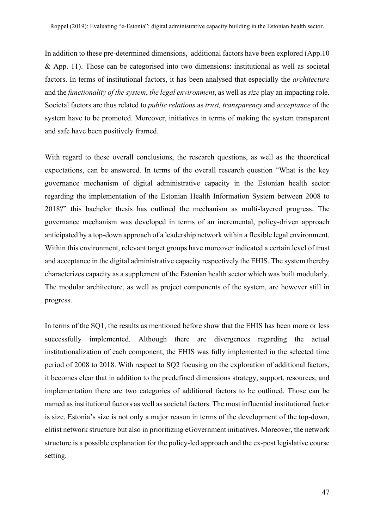In addition to these pre-determined dimensions, additional factors have been explored (App.10 & App. 11). Those can be categorised into two dimensions: institutional as well as societal factors. In terms of institutional factors, it has been analysed that especially the *architecture*  and the *functionality of the system*, *the legal environment*, as well as *size* play an impacting role. Societal factors are thus related to *public relations* as *trust, transparency* and *acceptance* of the system have to be promoted. Moreover, initiatives in terms of making the system transparent and safe have been positively framed.

With regard to these overall conclusions, the research questions, as well as the theoretical expectations, can be answered. In terms of the overall research question "What is the key governance mechanism of digital administrative capacity in the Estonian health sector regarding the implementation of the Estonian Health Information System between 2008 to 2018?" this bachelor thesis has outlined the mechanism as multi-layered progress. The governance mechanism was developed in terms of an incremental, policy-driven approach anticipated by a top-down approach of a leadership network within a flexible legal environment. Within this environment, relevant target groups have moreover indicated a certain level of trust and acceptance in the digital administrative capacity respectively the EHIS. The system thereby characterizes capacity as a supplement of the Estonian health sector which was built modularly. The modular architecture, as well as project components of the system, are however still in progress.

In terms of the SQ1, the results as mentioned before show that the EHIS has been more or less successfully implemented. Although there are divergences regarding the actual institutionalization of each component, the EHIS was fully implemented in the selected time period of 2008 to 2018. With respect to SQ2 focusing on the exploration of additional factors, it becomes clear that in addition to the predefined dimensions strategy, support, resources, and implementation there are two categories of additional factors to be outlined. Those can be named as institutional factors as well as societal factors. The most influential institutional factor is size. Estonia's size is not only a major reason in terms of the development of the top-down, elitist network structure but also in prioritizing eGovernment initiatives. Moreover, the network structure is a possible explanation for the policy-led approach and the ex-post legislative course setting.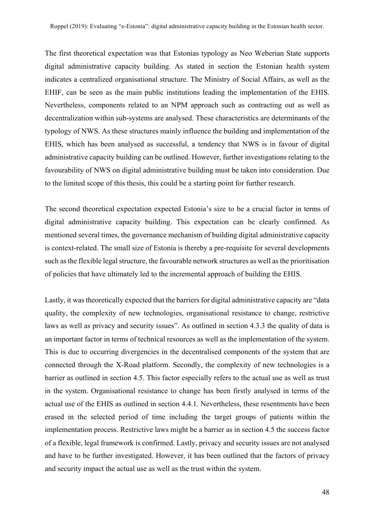The first theoretical expectation was that Estonias typology as Neo Weberian State supports digital administrative capacity building. As stated in section the Estonian health system indicates a centralized organisational structure. The Ministry of Social Affairs, as well as the EHIF, can be seen as the main public institutions leading the implementation of the EHIS. Nevertheless, components related to an NPM approach such as contracting out as well as decentralization within sub-systems are analysed. These characteristics are determinants of the typology of NWS. As these structures mainly influence the building and implementation of the EHIS, which has been analysed as successful, a tendency that NWS is in favour of digital administrative capacity building can be outlined. However, further investigations relating to the favourability of NWS on digital administrative building must be taken into consideration. Due to the limited scope of this thesis, this could be a starting point for further research.

The second theoretical expectation expected Estonia's size to be a crucial factor in terms of digital administrative capacity building. This expectation can be clearly confirmed. As mentioned several times, the governance mechanism of building digital administrative capacity is context-related. The small size of Estonia is thereby a pre-requisite for several developments such as the flexible legal structure, the favourable network structures as well as the prioritisation of policies that have ultimately led to the incremental approach of building the EHIS.

Lastly, it was theoretically expected that the barriers for digital administrative capacity are "data quality, the complexity of new technologies, organisational resistance to change, restrictive laws as well as privacy and security issues". As outlined in section 4.3.3 the quality of data is an important factor in terms of technical resources as well as the implementation of the system. This is due to occurring divergencies in the decentralised components of the system that are connected through the X-Road platform. Secondly, the complexity of new technologies is a barrier as outlined in section 4.5. This factor especially refers to the actual use as well as trust in the system. Organisational resistance to change has been firstly analysed in terms of the actual use of the EHIS as outlined in section 4.4.1. Nevertheless, these resentments have been erased in the selected period of time including the target groups of patients within the implementation process. Restrictive laws might be a barrier as in section 4.5 the success factor of a flexible, legal framework is confirmed. Lastly, privacy and security issues are not analysed and have to be further investigated. However, it has been outlined that the factors of privacy and security impact the actual use as well as the trust within the system.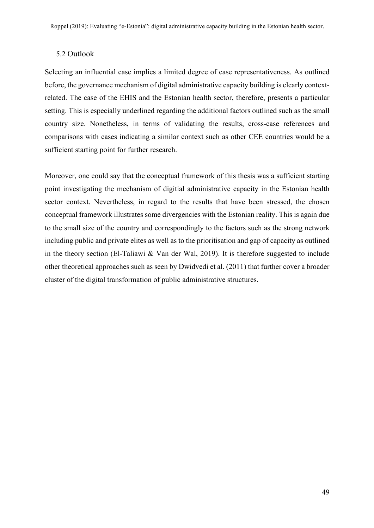#### 5.2 Outlook

Selecting an influential case implies a limited degree of case representativeness. As outlined before, the governance mechanism of digital administrative capacity building is clearly contextrelated. The case of the EHIS and the Estonian health sector, therefore, presents a particular setting. This is especially underlined regarding the additional factors outlined such as the small country size. Nonetheless, in terms of validating the results, cross-case references and comparisons with cases indicating a similar context such as other CEE countries would be a sufficient starting point for further research.

Moreover, one could say that the conceptual framework of this thesis was a sufficient starting point investigating the mechanism of digitial administrative capacity in the Estonian health sector context. Nevertheless, in regard to the results that have been stressed, the chosen conceptual framework illustrates some divergencies with the Estonian reality. This is again due to the small size of the country and correspondingly to the factors such as the strong network including public and private elites as well as to the prioritisation and gap of capacity as outlined in the theory section (El-Taliawi & Van der Wal, 2019). It is therefore suggested to include other theoretical approaches such as seen by Dwidvedi et al. (2011) that further cover a broader cluster of the digital transformation of public administrative structures.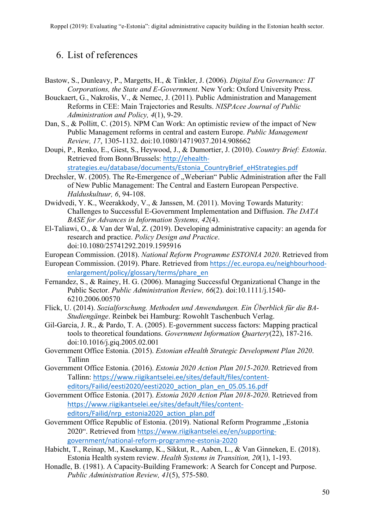# 6. List of references

- Bastow, S., Dunleavy, P., Margetts, H., & Tinkler, J. (2006). *Digital Era Governance: IT Corporations, the State and E-Government*. New York: Oxford University Press.
- Bouckaert, G., Nakrošis, V., & Nemec, J. (2011). Public Administration and Management Reforms in CEE: Main Trajectories and Results. *NISPAcee Journal of Public Administration and Policy, 4*(1), 9-29.
- Dan, S., & Pollitt, C. (2015). NPM Can Work: An optimistic review of the impact of New Public Management reforms in central and eastern Europe. *Public Management Review, 17*, 1305-1132. doi:10.1080/14719037.2014.908662
- Doupi, P., Renko, E., Giest, S., Heywood, J., & Dumortier, J. (2010). *Country Brief: Estonia*. Retrieved from Bonn/Brussels: http://ehealthstrategies.eu/database/documents/Estonia\_CountryBrief\_eHStrategies.pdf
- Drechsler, W. (2005). The Re-Emergence of "Weberian" Public Administration after the Fall of New Public Management: The Central and Eastern European Perspective. *Halduskultuur, 6*, 94-108.
- Dwidvedi, Y. K., Weerakkody, V., & Janssen, M. (2011). Moving Towards Maturity: Challenges to Successful E-Government Implementation and Diffusion. *The DATA BASE for Advances in Information Systems, 42*(4).
- El-Taliawi, O., & Van der Wal, Z. (2019). Developing administrative capacity: an agenda for research and practice. *Policy Design and Practice*. doi:10.1080/25741292.2019.1595916
- European Commission. (2018). *National Reform Programme ESTONIA 2020*. Retrieved from
- European Commission. (2019). Phare. Retrieved from https://ec.europa.eu/neighbourhoodenlargement/policy/glossary/terms/phare\_en
- Fernandez, S., & Rainey, H. G. (2006). Managing Successful Organizational Change in the Public Sector. *Public Administration Review, 66*(2). doi:10.1111/j.1540- 6210.2006.00570
- Flick, U. (2014). *Sozialforschung. Methoden und Anwendungen. Ein Überblick für die BA-Studiengänge*. Reinbek bei Hamburg: Rowohlt Taschenbuch Verlag.
- Gil-Garcia, J. R., & Pardo, T. A. (2005). E-government success factors: Mapping practical tools to theoretical foundations. *Government Information Quartery*(22), 187-216. doi:10.1016/j.giq.2005.02.001
- Government Office Estonia. (2015). *Estonian eHealth Strategic Development Plan 2020*. Tallinn
- Government Office Estonia. (2016). *Estonia 2020 Action Plan 2015-2020*. Retrieved from Tallinn: https://www.riigikantselei.ee/sites/default/files/contenteditors/Failid/eesti2020/eesti2020\_action\_plan\_en\_05.05.16.pdf
- Government Office Estonia. (2017). *Estonia 2020 Action Plan 2018-2020*. Retrieved from https://www.riigikantselei.ee/sites/default/files/contenteditors/Failid/nrp\_estonia2020\_action\_plan.pdf
- Government Office Republic of Estonia. (2019). National Reform Programme "Estonia 2020". Retrieved from https://www.riigikantselei.ee/en/supportinggovernment/national-reform-programme-estonia-2020
- Habicht, T., Reinap, M., Kasekamp, K., Sikkut, R., Aaben, L., & Van Ginneken, E. (2018). Estonia Health system review. *Health Systems in Transition, 20*(1), 1-193.
- Honadle, B. (1981). A Capacity-Building Framework: A Search for Concept and Purpose. *Public Administration Review, 41*(5), 575-580.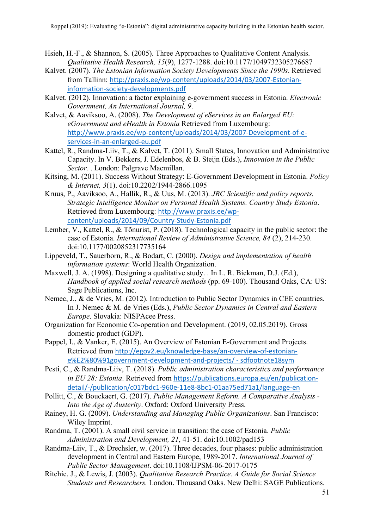- Hsieh, H.-F., & Shannon, S. (2005). Three Approaches to Qualitative Content Analysis. *Qualitative Health Research, 15*(9), 1277-1288. doi:10.1177/1049732305276687
- Kalvet. (2007). *The Estonian Information Society Developments Since the 1990s*. Retrieved from Tallinn: http://praxis.ee/wp-content/uploads/2014/03/2007-Estonianinformation-society-developments.pdf
- Kalvet. (2012). Innovation: a factor explaining e-government success in Estonia. *Electronic Government, An International Journal, 9*.
- Kalvet, & Aaviksoo, A. (2008). *The Development of eServices in an Enlarged EU: eGovernment and eHealth in Estonia* Retrieved from Luxembourg: http://www.praxis.ee/wp-content/uploads/2014/03/2007-Development-of-eservices-in-an-enlarged-eu.pdf
- Kattel, R., Randma-Liiv, T., & Kalvet, T. (2011). Small States, Innovation and Administrative Capacity. In V. Bekkers, J. Edelenbos, & B. Steijn (Eds.), *Innovaion in the Public Sector.* . London: Palgrave Macmillan.
- Kitsing, M. (2011). Success Without Strategy: E-Government Development in Estonia. *Policy & Internet, 3*(1). doi:10.2202/1944-2866.1095
- Kruus, P., Aaviksoo, A., Hallik, R., & Uus, M. (2013). *JRC Scientific and policy reports. Strategic Intelligence Monitor on Personal Health Systems. Country Study Estonia*. Retrieved from Luxembourg: http://www.praxis.ee/wpcontent/uploads/2014/09/Country-Study-Estonia.pdf
- Lember, V., Kattel, R., & Tõnurist, P. (2018). Technological capacity in the public sector: the case of Estonia. *International Review of Administrative Science, 84* (2), 214-230. doi:10.1177/0020852317735164
- Lippeveld, T., Sauerborn, R., & Bodart, C. (2000). *Design and implementation of health information systems*: World Health Organization.
- Maxwell, J. A. (1998). Designing a qualitative study. . In L. R. Bickman, D.J. (Ed.), *Handbook of applied social research methods* (pp. 69-100). Thousand Oaks, CA: US: Sage Publications, Inc.
- Nemec, J., & de Vries, M. (2012). Introduction to Public Sector Dynamics in CEE countries. In J. Nemec & M. de Vries (Eds.), *Public Sector Dynamics in Central and Eastern Europe*. Slovakia: NISPAcee Press.
- Organization for Economic Co-operation and Development. (2019, 02.05.2019). Gross domestic product (GDP).
- Pappel, I., & Vanker, E. (2015). An Overview of Estonian E-Government and Projects. Retrieved from http://egov2.eu/knowledge-base/an-overview-of-estoniane%E2%80%91government-development-and-projects/ - sdfootnote18sym
- Pesti, C., & Randma-Liiv, T. (2018). *Public administration characteristics and performance in EU 28: Estonia*. Retrieved from https://publications.europa.eu/en/publicationdetail/-/publication/c017bdc1-960e-11e8-8bc1-01aa75ed71a1/language-en
- Pollitt, C., & Bouckaert, G. (2017). *Public Management Reform. A Comparative Analysis - Into the Age of Austerity*. Oxford: Oxford University Press.
- Rainey, H. G. (2009). *Understanding and Managing Public Organizations*. San Francisco: Wiley Imprint.
- Randma, T. (2001). A small civil service in transition: the case of Estonia. *Public Administration and Development, 21*, 41-51. doi:10.1002/pad153
- Randma-Liiv, T., & Drechsler, w. (2017). Three decades, four phases: public administration development in Central and Eastern Europe, 1989-2017. *International Journal of Public Sector Management*. doi:10.1108/IJPSM-06-2017-0175
- Ritchie, J., & Lewis, J. (2003). *Qualitative Research Practice. A Guide for Social Science Students and Researchers.* London. Thousand Oaks. New Delhi: SAGE Publications.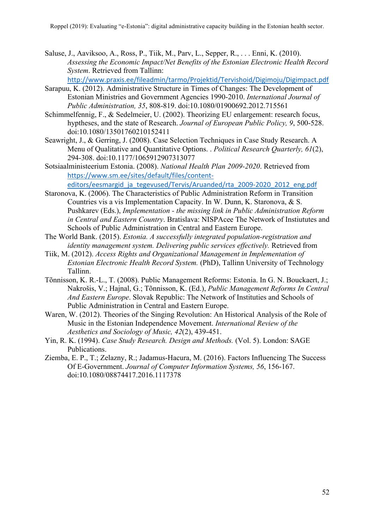Saluse, J., Aaviksoo, A., Ross, P., Tiik, M., Parv, L., Sepper, R., . . . Enni, K. (2010). *Assessing the Economic Impact/Net Benefits of the Estonian Electronic Health Record System*. Retrieved from Tallinn:

http://www.praxis.ee/fileadmin/tarmo/Projektid/Tervishoid/Digimoju/Digimpact.pdf

- Sarapuu, K. (2012). Administrative Structure in Times of Changes: The Development of Estonian Ministries and Government Agencies 1990-2010. *International Journal of Public Administration, 35*, 808-819. doi:10.1080/01900692.2012.715561
- Schimmelfennig, F., & Sedelmeier, U. (2002). Theorizing EU enlargement: research focus, hyptheses, and the state of Research. *Journal of European Public Policy, 9*, 500-528. doi:10.1080/13501760210152411
- Seawright, J., & Gerring, J. (2008). Case Selection Techniques in Case Study Research. A Menu of Qualitative and Quantitative Options. . *Political Research Quarterly, 61*(2), 294-308. doi:10.1177/1065912907313077
- Sotsiaalministeerium Estonia. (2008). *National Health Plan 2009-2020*. Retrieved from https://www.sm.ee/sites/default/files/content-

editors/eesmargid\_ja\_tegevused/Tervis/Aruanded/rta\_2009-2020\_2012\_eng.pdf

- Staronova, K. (2006). The Characteristics of Public Administration Reform in Transition Countries vis a vis Implementation Capacity. In W. Dunn, K. Staronova, & S. Pushkarev (Eds.), *Implementation - the missing link in Public Administration Reform in Central and Eastern Country*. Bratislava: NISPAcee The Network of Instiututes and Schools of Public Administration in Central and Eastern Europe.
- The World Bank. (2015). *Estonia. A successfully integrated population-registration and identity management system. Delivering public services effectively.* Retrieved from
- Tiik, M. (2012). *Access Rights and Organizational Management in Implementation of Estonian Electronic Health Record System.* (PhD), Tallinn University of Technology Tallinn.
- Tõnnisson, K. R.-L., T. (2008). Public Management Reforms: Estonia. In G. N. Bouckaert, J.; Nakrošis, V.; Hajnal, G.; Tõnnisson, K. (Ed.), *Public Management Reforms In Central And Eastern Europe*. Slovak Republic: The Network of Instituties and Schools of Public Administration in Central and Eastern Europe.
- Waren, W. (2012). Theories of the Singing Revolution: An Historical Analysis of the Role of Music in the Estonian Independence Movement. *International Review of the Aesthetics and Sociology of Music, 42*(2), 439-451.
- Yin, R. K. (1994). *Case Study Research. Design and Methods.* (Vol. 5). London: SAGE Publications.
- Ziemba, E. P., T.; Zelazny, R.; Jadamus-Hacura, M. (2016). Factors Influencing The Success Of E-Government. *Journal of Computer Information Systems, 56*, 156-167. doi:10.1080/08874417.2016.1117378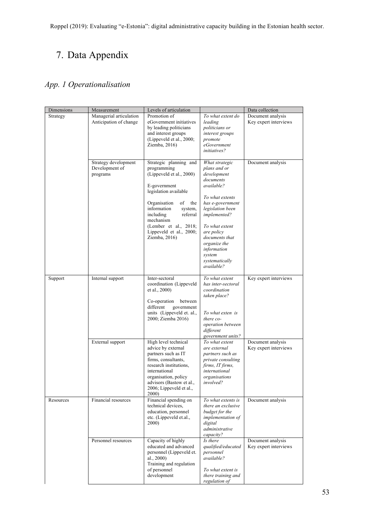# 7. Data Appendix

# *App. 1 Operationalisation*

| Dimensions | Measurement                                        | Levels of articulation                                                                                                                                                                                                                                                       |                                                                                                                                                                                                                                                                                | Data collection                            |
|------------|----------------------------------------------------|------------------------------------------------------------------------------------------------------------------------------------------------------------------------------------------------------------------------------------------------------------------------------|--------------------------------------------------------------------------------------------------------------------------------------------------------------------------------------------------------------------------------------------------------------------------------|--------------------------------------------|
| Strategy   | Managerial articulation<br>Anticipation of change  | Promotion of<br>eGovernment initiatives<br>by leading politicians<br>and interest groups<br>(Lippeveld et al., 2000;<br>Ziemba, 2016)                                                                                                                                        | To what extent do<br>leading<br>politicians or<br>interest groups<br>promote<br>eGovernment<br><i>initiatives?</i>                                                                                                                                                             | Document analysis<br>Key expert interviews |
|            | Strategy development<br>Development of<br>programs | Strategic planning and<br>programming<br>(Lippeveld et al., 2000)<br>E-government<br>legislation available<br>Organisation<br>of<br>the<br>information<br>system,<br>referral<br>including<br>mechanism<br>(Lember et al., 2018;<br>Lippeveld et al., 2000;<br>Ziemba, 2016) | What strategic<br>plans and or<br>development<br>documents<br>available?<br>To what extents<br>has e-government<br>legislation been<br>implemented?<br>To what extent<br>are policy<br>documents that<br>organize the<br>information<br>system<br>systematically<br>available? | Document analysis                          |
| Support    | Internal support                                   | Inter-sectoral<br>coordination (Lippeveld<br>et al., 2000)<br>Co-operation<br>between<br>different<br>government<br>units (Lippeveld et. al.,<br>2000; Ziemba 2016)                                                                                                          | To what extent<br>has inter-sectoral<br>coordination<br>taken place?<br>To what exten is<br>there co-<br>operation between<br>different<br>government units?                                                                                                                   | Key expert interviews                      |
|            | External support                                   | High level technical<br>advice by external<br>partners such as IT<br>firms, consultants,<br>research institutions,<br>international<br>organisation, policy<br>advisors (Bastow et al.,<br>2006; Lippeveld et al.,<br>2000)                                                  | To what extent<br>are external<br>partners such as<br>private consulting<br>firms, IT firms,<br>international<br>organisations<br><i>involved?</i>                                                                                                                             | Document analysis<br>Key expert interviews |
| Resources  | Financial resources                                | Financial spending on<br>technical devices,<br>education, personnel<br>etc. (Lippeveld et.al.,<br>2000)                                                                                                                                                                      | To what extents is<br>there an exclusive<br>budget for the<br>implementation of<br>digital<br>administrative<br>capacity?                                                                                                                                                      | Document analysis                          |
|            | Personnel resources                                | Capacity of highly<br>educated and advanced<br>personnel (Lippeveld et.<br>al., $2000$ )<br>Training and regulation<br>of personnel<br>development                                                                                                                           | Is there<br>qualified/educated<br>personnel<br>available?<br>To what extent is<br>there training and<br>regulation of                                                                                                                                                          | Document analysis<br>Key expert interviews |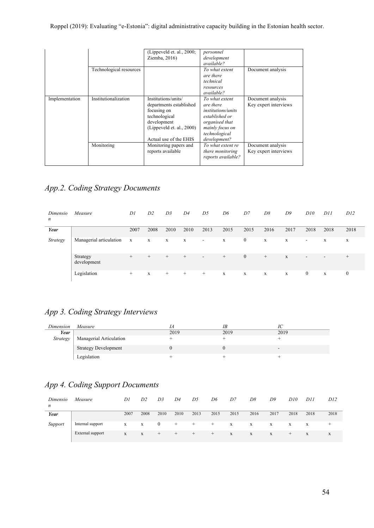#### Roppel (2019): Evaluating "e-Estonia": digital administrative capacity building in the Estonian health sector.

|                |                         | (Lippeveld et. al., 2000;<br>Ziemba, 2016)                                                                                                           | personnel<br>development<br><i>available?</i>                                                                                                    |                                            |
|----------------|-------------------------|------------------------------------------------------------------------------------------------------------------------------------------------------|--------------------------------------------------------------------------------------------------------------------------------------------------|--------------------------------------------|
|                | Technological resources |                                                                                                                                                      | To what extent<br>are there<br>technical<br>resources<br><i>available?</i>                                                                       | Document analysis                          |
| Implementation | Institutionalization    | Institutions/units/<br>departments established<br>focusing on<br>technological<br>development<br>(Lippeveld et. al., 2000)<br>Actual use of the EHIS | To what extent<br>are there<br><i>institutions/units</i><br>established or<br>organised that<br>mainly focus on<br>technological<br>development? | Document analysis<br>Key expert interviews |
|                | Monitoring              | Monitoring papers and<br>reports available                                                                                                           | To what extent re<br>there monitoring<br>reports available?                                                                                      | Document analysis<br>Key expert interviews |

# *App.2. Coding Strategy Documents*

| Dimensio<br>n | Measure                 | D1          | D <sub>2</sub> | D3          | D4          | D <sub>5</sub>           | D6     | D7               | D8     | D9          | D10                      | <i>D11</i>               | D12          |
|---------------|-------------------------|-------------|----------------|-------------|-------------|--------------------------|--------|------------------|--------|-------------|--------------------------|--------------------------|--------------|
| Year          |                         | 2007        | 2008           | 2010        | 2010        | 2013                     | 2015   | 2015             | 2016   | 2017        | 2018                     | 2018                     | 2018         |
| Strategy      | Managerial articulation | $\mathbf X$ | $\mathbf X$    | $\mathbf X$ | $\mathbf x$ | $\overline{\phantom{a}}$ | X      | $\boldsymbol{0}$ | X      | X           | $\overline{\phantom{a}}$ | X                        | X            |
|               | Strategy<br>development | $^{+}$      | $^{+}$         | $^{+}$      | $^{+}$      | $\overline{\phantom{a}}$ | $^{+}$ | $\overline{0}$   | $^{+}$ | X           | $\sim$                   | $\overline{\phantom{a}}$ | $^{+}$       |
|               | Legislation             | $^{+}$      | X              | $^{+}$      | $^{+}$      | $^{+}$                   | X      | X                | X      | $\mathbf X$ | $\bf{0}$                 | $\mathbf X$              | $\mathbf{0}$ |

### *App 3. Coding Strategy Interviews*

| Dimension | Measure                     |      | ΙB   |                          |
|-----------|-----------------------------|------|------|--------------------------|
| Year      |                             | 2019 | 2019 | 2019                     |
| Strategy  | Managerial Articulation     |      |      |                          |
|           | <b>Strategy Development</b> |      |      | $\overline{\phantom{0}}$ |
|           | Legislation                 |      |      |                          |

# *App 4. Coding Support Documents*

| Dimensio<br>$\boldsymbol{n}$ | Measure          | Dl   | D2   | D <sub>3</sub> | D4   | D5    | D6     | D7   | D8   | D9   | D10   | D11  | D12  |
|------------------------------|------------------|------|------|----------------|------|-------|--------|------|------|------|-------|------|------|
| Year                         |                  | 2007 | 2008 | 2010           | 2010 | 2013  | 2015   | 2015 | 2016 | 2017 | 2018  | 2018 | 2018 |
| Support                      | Internal support | X    | X    | $\bf{0}$       | $+$  | $^+$  | $+$    | X    | X    | X    | X     | X    |      |
|                              | External support | X    | X    | $+$            | ÷    | $\pm$ | $^{+}$ | X    | X    | X    | $\pm$ | X    | X    |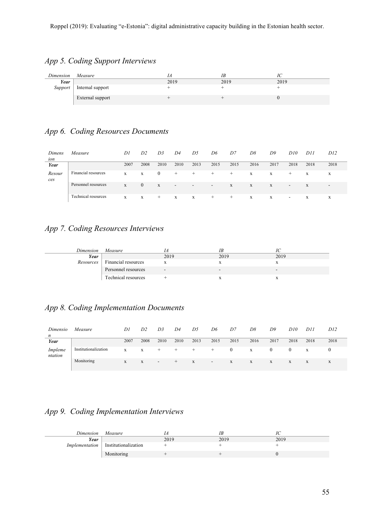# *App 5. Coding Support Interviews*

| Dimension | Measure          |      |      |      |
|-----------|------------------|------|------|------|
| Year      |                  | 2019 | 2019 | 2019 |
| Support   | Internal support |      |      |      |
|           | External support |      |      |      |

# *App 6. Coding Resources Documents*

| Dimens<br>ion | Measure             | D1   | D <sub>2</sub> | D <sub>3</sub> | D4     | D5                       | D6                       | D7    | D8   | D9   | D10                      | D11  | D12                      |
|---------------|---------------------|------|----------------|----------------|--------|--------------------------|--------------------------|-------|------|------|--------------------------|------|--------------------------|
| Year          |                     | 2007 | 2008           | 2010           | 2010   | 2013                     | 2015                     | 2015  | 2016 | 2017 | 2018                     | 2018 | 2018                     |
| Resour<br>ces | Financial resources | X    | X              | $\mathbf{0}$   | $^+$   | ÷                        | $\pm$                    | $\pm$ | X    | X    | $^+$                     | X    | X                        |
|               | Personnel resources | X    | $\Omega$       | X              | $\sim$ | $\overline{\phantom{a}}$ | $\overline{\phantom{0}}$ | X     | X    | X    | $\overline{\phantom{a}}$ | X    | $\overline{\phantom{a}}$ |
|               | Technical resources | X    | X              | $^{+}$         | X      | X                        | $^+$                     | $\pm$ | X    | X    | $\overline{\phantom{0}}$ | X    | X                        |

### *App 7. Coding Resources Interviews*

| Dimension | Measure             |        |      |      |
|-----------|---------------------|--------|------|------|
| Year      |                     | 2019   | 2019 | 2019 |
| Resources | Financial resources |        |      |      |
|           | Personnel resources | $\sim$ | -    | -    |
|           | Technical resources |        |      |      |

### *App 8. Coding Implementation Documents*

| Dimensio<br>$\boldsymbol{n}$ | Measure              | Dl   | D <sub>2</sub> | D <sub>3</sub> | D4     | D5   | D6                       | D7   | D8   | D9       | D10  | D11  | D12  |
|------------------------------|----------------------|------|----------------|----------------|--------|------|--------------------------|------|------|----------|------|------|------|
| Year                         |                      | 2007 | 2008           | 2010           | 2010   | 2013 | 2015                     | 2015 | 2016 | 2017     | 2018 | 2018 | 2018 |
| Impleme<br>ntation           | Institutionalization | X    | X              | $\pm$          | $\div$ | +    | +                        |      | X    | $\theta$ |      | X    |      |
|                              | Monitoring           | X    | X              |                | $^{+}$ | X    | $\overline{\phantom{a}}$ | X    | X    | X        | X    | X    | X    |

# *App 9. Coding Implementation Interviews*

| Dimension      | Measure              |      | ΙБ   |      |
|----------------|----------------------|------|------|------|
| Year           |                      | 2019 | 2019 | 2019 |
| Implementation | Institutionalization |      |      |      |
|                | Monitoring           |      |      |      |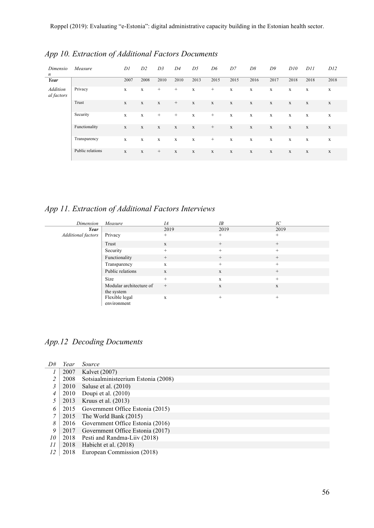| Dimensio<br>$\boldsymbol{n}$  | Measure          | D1          | D2           | D3          | D <sub>4</sub> | D5          | D6              | D7          | D8          | D9          | D10         | D11         | D12         |
|-------------------------------|------------------|-------------|--------------|-------------|----------------|-------------|-----------------|-------------|-------------|-------------|-------------|-------------|-------------|
| Year                          |                  | 2007        | 2008         | 2010        | 2010           | 2013        | 2015            | 2015        | 2016        | 2017        | 2018        | 2018        | 2018        |
| <b>Addition</b><br>al factors | Privacy          | X           | $\mathbf{x}$ | $^{+}$      | $^{+}$         | X           | $^{+}$          | $\mathbf X$ | X           | X           | $\mathbf X$ | $\mathbf X$ | X           |
|                               | Trust            | $\mathbf X$ | X            | $\mathbf X$ | $+$            | $\mathbf X$ | $\mathbf X$     | $\mathbf x$ | $\mathbf x$ | $\mathbf x$ | $\mathbf X$ | $\mathbf x$ | $\mathbf x$ |
|                               | Security         | X           | $\mathbf X$  | $^{+}$      | $^{+}$         | $\mathbf X$ | $^{+}$          | $\mathbf X$ | X           | $\mathbf X$ | $\mathbf X$ | $\mathbf X$ | $\mathbf X$ |
|                               | Functionality    | $\mathbf X$ | $\mathbf x$  | $\mathbf X$ | $\mathbf X$    | $\mathbf X$ | $^{+}$          | $\mathbf X$ | $\mathbf X$ | $\mathbf X$ | $\mathbf X$ | $\mathbf X$ | $\mathbf x$ |
|                               | Transparency     | X           | X            | X           | $\mathbf X$    | X           | $\! + \!\!\!\!$ | $\mathbf X$ | X           | $\mathbf X$ | $\mathbf X$ | $\mathbf X$ | $\mathbf X$ |
|                               | Public relations | $\mathbf X$ | $\mathbf X$  | $^{+}$      | $\mathbf X$    | $\mathbf X$ | $\mathbf X$     | $\mathbf x$ | $\mathbf X$ | $\mathbf x$ | $\mathbf X$ | $\mathbf X$ | $\mathbf X$ |

# *App 10. Extraction of Additional Factors Documents*

*App 11. Extraction of Additional Factors Interviews*

| Dimension          | Measure                               | IA           | IB           | IC     |
|--------------------|---------------------------------------|--------------|--------------|--------|
| Year               |                                       | 2019         | 2019         | 2019   |
| Additional factors | Privacy                               | $+$          | $^{+}$       | $+$    |
|                    | Trust                                 | $\mathbf{x}$ | $^{+}$       | $^{+}$ |
|                    | Security                              | $+$          | $^{+}$       | $^{+}$ |
|                    | Functionality                         | $+$          | $^{+}$       | $^{+}$ |
|                    | Transparency                          | $\mathbf{x}$ | $^{+}$       | $+$    |
|                    | Public relations                      | X            | $\mathbf X$  | $^{+}$ |
|                    | Size                                  | $+$          | $\mathbf{X}$ | $^{+}$ |
|                    | Modular architecture of<br>the system | $^{+}$       | $\mathbf X$  | X      |
|                    | Flexible legal<br>environment         | X            | $^{+}$       | $^{+}$ |

# *App.12 Decoding Documents*

| D#             | Year | Source                                |
|----------------|------|---------------------------------------|
|                | 2007 | Kalvet (2007)                         |
| $\overline{c}$ | 2008 | Sotsiaalministeerium Estonia (2008)   |
| 3              | 2010 | Saluse et al. (2010)                  |
| 4              | 2010 | Doupi et al. (2010)                   |
|                | 2013 | Kruus et al. $(2013)$                 |
| 6              |      | 2015 Government Office Estonia (2015) |
| 7              |      | 2015 The World Bank (2015)            |
| 8              |      | 2016 Government Office Estonia (2016) |
| 9              | 2017 | Government Office Estonia (2017)      |
| 10             | 2018 | Pesti and Randma-Liiv (2018)          |
| II             | 2018 | Habicht et al. (2018)                 |
| 12             | 2018 | European Commission (2018)            |